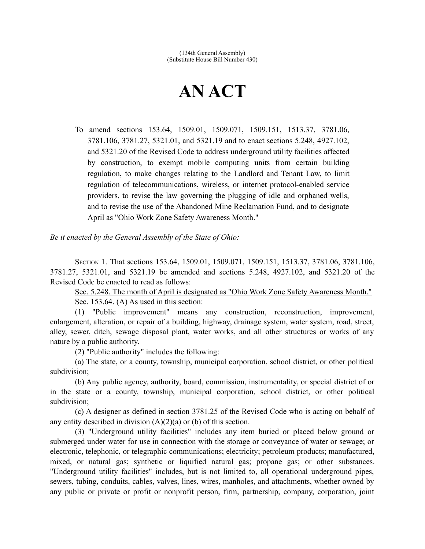## **AN ACT**

To amend sections 153.64, 1509.01, 1509.071, 1509.151, 1513.37, 3781.06, 3781.106, 3781.27, 5321.01, and 5321.19 and to enact sections 5.248, 4927.102, and 5321.20 of the Revised Code to address underground utility facilities affected by construction, to exempt mobile computing units from certain building regulation, to make changes relating to the Landlord and Tenant Law, to limit regulation of telecommunications, wireless, or internet protocol-enabled service providers, to revise the law governing the plugging of idle and orphaned wells, and to revise the use of the Abandoned Mine Reclamation Fund, and to designate April as "Ohio Work Zone Safety Awareness Month."

*Be it enacted by the General Assembly of the State of Ohio:*

SECTION 1. That sections 153.64, 1509.01, 1509.071, 1509.151, 1513.37, 3781.06, 3781.106, 3781.27, 5321.01, and 5321.19 be amended and sections 5.248, 4927.102, and 5321.20 of the Revised Code be enacted to read as follows:

 Sec. 5.248. The month of April is designated as "Ohio Work Zone Safety Awareness Month." Sec. 153.64. (A) As used in this section:

(1) "Public improvement" means any construction, reconstruction, improvement, enlargement, alteration, or repair of a building, highway, drainage system, water system, road, street, alley, sewer, ditch, sewage disposal plant, water works, and all other structures or works of any nature by a public authority.

(2) "Public authority" includes the following:

(a) The state, or a county, township, municipal corporation, school district, or other political subdivision;

(b) Any public agency, authority, board, commission, instrumentality, or special district of or in the state or a county, township, municipal corporation, school district, or other political subdivision;

(c) A designer as defined in section 3781.25 of the Revised Code who is acting on behalf of any entity described in division  $(A)(2)(a)$  or (b) of this section.

(3) "Underground utility facilities" includes any item buried or placed below ground or submerged under water for use in connection with the storage or conveyance of water or sewage; or electronic, telephonic, or telegraphic communications; electricity; petroleum products; manufactured, mixed, or natural gas; synthetic or liquified natural gas; propane gas; or other substances. "Underground utility facilities" includes, but is not limited to, all operational underground pipes, sewers, tubing, conduits, cables, valves, lines, wires, manholes, and attachments, whether owned by any public or private or profit or nonprofit person, firm, partnership, company, corporation, joint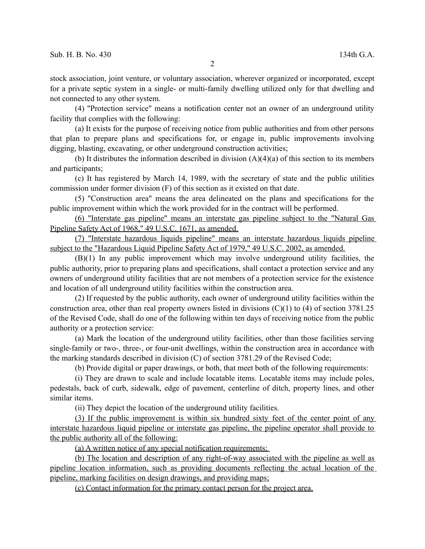stock association, joint venture, or voluntary association, wherever organized or incorporated, except for a private septic system in a single- or multi-family dwelling utilized only for that dwelling and not connected to any other system.

(4) "Protection service" means a notification center not an owner of an underground utility facility that complies with the following:

(a) It exists for the purpose of receiving notice from public authorities and from other persons that plan to prepare plans and specifications for, or engage in, public improvements involving digging, blasting, excavating, or other underground construction activities;

(b) It distributes the information described in division  $(A)(4)(a)$  of this section to its members and participants;

(c) It has registered by March 14, 1989, with the secretary of state and the public utilities commission under former division (F) of this section as it existed on that date.

(5) "Construction area" means the area delineated on the plans and specifications for the public improvement within which the work provided for in the contract will be performed.

(6) "Interstate gas pipeline" means an interstate gas pipeline subject to the "Natural Gas Pipeline Safety Act of 1968," 49 U.S.C. 1671, as amended.

 (7) "Interstate hazardous liquids pipeline" means an interstate hazardous liquids pipeline subject to the "Hazardous Liquid Pipeline Safety Act of 1979," 49 U.S.C. 2002, as amended.

(B)(1) In any public improvement which may involve underground utility facilities, the public authority, prior to preparing plans and specifications, shall contact a protection service and any owners of underground utility facilities that are not members of a protection service for the existence and location of all underground utility facilities within the construction area.

(2) If requested by the public authority, each owner of underground utility facilities within the construction area, other than real property owners listed in divisions  $(C)(1)$  to  $(4)$  of section 3781.25 of the Revised Code, shall do one of the following within ten days of receiving notice from the public authority or a protection service:

(a) Mark the location of the underground utility facilities, other than those facilities serving single-family or two-, three-, or four-unit dwellings, within the construction area in accordance with the marking standards described in division (C) of section 3781.29 of the Revised Code;

(b) Provide digital or paper drawings, or both, that meet both of the following requirements:

(i) They are drawn to scale and include locatable items. Locatable items may include poles, pedestals, back of curb, sidewalk, edge of pavement, centerline of ditch, property lines, and other similar items.

(ii) They depict the location of the underground utility facilities.

 (3) If the public improvement is within six hundred sixty feet of the center point of any interstate hazardous liquid pipeline or interstate gas pipeline, the pipeline operator shall provide to the public authority all of the following:

(a) A written notice of any special notification requirements;

(b) The location and description of any right-of-way associated with the pipeline as well as pipeline location information, such as providing documents reflecting the actual location of the pipeline, marking facilities on design drawings, and providing maps;

(c) Contact information for the primary contact person for the project area.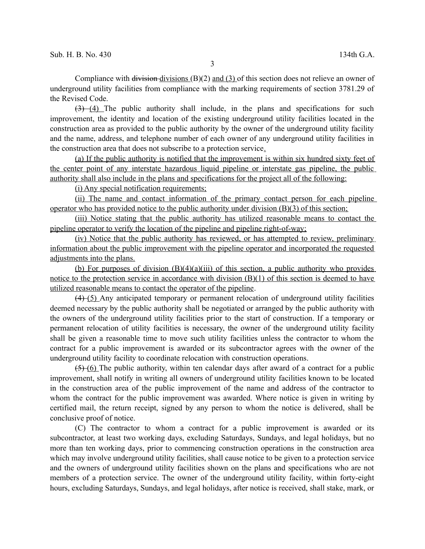Compliance with division-divisions  $(B(2)$  and  $(3)$  of this section does not relieve an owner of underground utility facilities from compliance with the marking requirements of section 3781.29 of the Revised Code.

 $(3)$  (4) The public authority shall include, in the plans and specifications for such improvement, the identity and location of the existing underground utility facilities located in the construction area as provided to the public authority by the owner of the underground utility facility and the name, address, and telephone number of each owner of any underground utility facilities in the construction area that does not subscribe to a protection service.

(a) If the public authority is notified that the improvement is within six hundred sixty feet of the center point of any interstate hazardous liquid pipeline or interstate gas pipeline, the public authority shall also include in the plans and specifications for the project all of the following:

(i) Any special notification requirements;

(ii) The name and contact information of the primary contact person for each pipeline operator who has provided notice to the public authority under division (B)(3) of this section;

(iii) Notice stating that the public authority has utilized reasonable means to contact the pipeline operator to verify the location of the pipeline and pipeline right-of-way;

(iv) Notice that the public authority has reviewed, or has attempted to review, preliminary information about the public improvement with the pipeline operator and incorporated the requested adjustments into the plans.

(b) For purposes of division  $(B)(4)(a)(iii)$  of this section, a public authority who provides notice to the protection service in accordance with division (B)(1) of this section is deemed to have utilized reasonable means to contact the operator of the pipeline.

(4) (5) Any anticipated temporary or permanent relocation of underground utility facilities deemed necessary by the public authority shall be negotiated or arranged by the public authority with the owners of the underground utility facilities prior to the start of construction. If a temporary or permanent relocation of utility facilities is necessary, the owner of the underground utility facility shall be given a reasonable time to move such utility facilities unless the contractor to whom the contract for a public improvement is awarded or its subcontractor agrees with the owner of the underground utility facility to coordinate relocation with construction operations.

 $(5)$  (6) The public authority, within ten calendar days after award of a contract for a public improvement, shall notify in writing all owners of underground utility facilities known to be located in the construction area of the public improvement of the name and address of the contractor to whom the contract for the public improvement was awarded. Where notice is given in writing by certified mail, the return receipt, signed by any person to whom the notice is delivered, shall be conclusive proof of notice.

(C) The contractor to whom a contract for a public improvement is awarded or its subcontractor, at least two working days, excluding Saturdays, Sundays, and legal holidays, but no more than ten working days, prior to commencing construction operations in the construction area which may involve underground utility facilities, shall cause notice to be given to a protection service and the owners of underground utility facilities shown on the plans and specifications who are not members of a protection service. The owner of the underground utility facility, within forty-eight hours, excluding Saturdays, Sundays, and legal holidays, after notice is received, shall stake, mark, or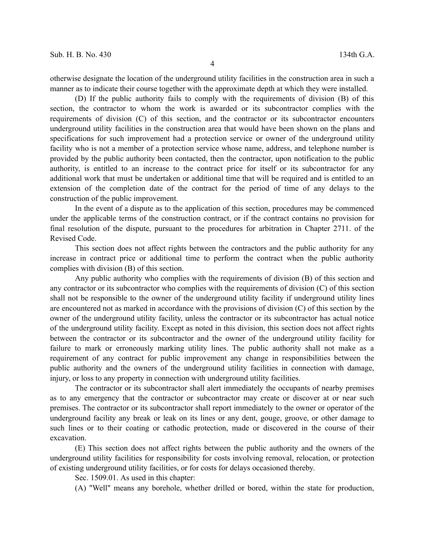otherwise designate the location of the underground utility facilities in the construction area in such a manner as to indicate their course together with the approximate depth at which they were installed.

(D) If the public authority fails to comply with the requirements of division (B) of this section, the contractor to whom the work is awarded or its subcontractor complies with the requirements of division (C) of this section, and the contractor or its subcontractor encounters underground utility facilities in the construction area that would have been shown on the plans and specifications for such improvement had a protection service or owner of the underground utility facility who is not a member of a protection service whose name, address, and telephone number is provided by the public authority been contacted, then the contractor, upon notification to the public authority, is entitled to an increase to the contract price for itself or its subcontractor for any additional work that must be undertaken or additional time that will be required and is entitled to an extension of the completion date of the contract for the period of time of any delays to the construction of the public improvement.

In the event of a dispute as to the application of this section, procedures may be commenced under the applicable terms of the construction contract, or if the contract contains no provision for final resolution of the dispute, pursuant to the procedures for arbitration in Chapter 2711. of the Revised Code.

This section does not affect rights between the contractors and the public authority for any increase in contract price or additional time to perform the contract when the public authority complies with division (B) of this section.

Any public authority who complies with the requirements of division (B) of this section and any contractor or its subcontractor who complies with the requirements of division (C) of this section shall not be responsible to the owner of the underground utility facility if underground utility lines are encountered not as marked in accordance with the provisions of division (C) of this section by the owner of the underground utility facility, unless the contractor or its subcontractor has actual notice of the underground utility facility. Except as noted in this division, this section does not affect rights between the contractor or its subcontractor and the owner of the underground utility facility for failure to mark or erroneously marking utility lines. The public authority shall not make as a requirement of any contract for public improvement any change in responsibilities between the public authority and the owners of the underground utility facilities in connection with damage, injury, or loss to any property in connection with underground utility facilities.

The contractor or its subcontractor shall alert immediately the occupants of nearby premises as to any emergency that the contractor or subcontractor may create or discover at or near such premises. The contractor or its subcontractor shall report immediately to the owner or operator of the underground facility any break or leak on its lines or any dent, gouge, groove, or other damage to such lines or to their coating or cathodic protection, made or discovered in the course of their excavation.

(E) This section does not affect rights between the public authority and the owners of the underground utility facilities for responsibility for costs involving removal, relocation, or protection of existing underground utility facilities, or for costs for delays occasioned thereby.

Sec. 1509.01. As used in this chapter:

(A) "Well" means any borehole, whether drilled or bored, within the state for production,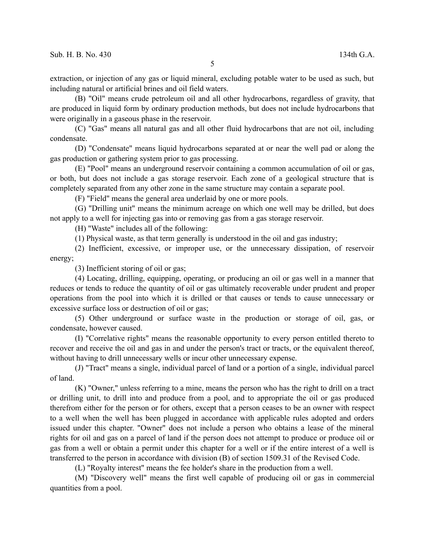extraction, or injection of any gas or liquid mineral, excluding potable water to be used as such, but including natural or artificial brines and oil field waters.

(B) "Oil" means crude petroleum oil and all other hydrocarbons, regardless of gravity, that are produced in liquid form by ordinary production methods, but does not include hydrocarbons that were originally in a gaseous phase in the reservoir.

(C) "Gas" means all natural gas and all other fluid hydrocarbons that are not oil, including condensate.

(D) "Condensate" means liquid hydrocarbons separated at or near the well pad or along the gas production or gathering system prior to gas processing.

(E) "Pool" means an underground reservoir containing a common accumulation of oil or gas, or both, but does not include a gas storage reservoir. Each zone of a geological structure that is completely separated from any other zone in the same structure may contain a separate pool.

(F) "Field" means the general area underlaid by one or more pools.

(G) "Drilling unit" means the minimum acreage on which one well may be drilled, but does not apply to a well for injecting gas into or removing gas from a gas storage reservoir.

(H) "Waste" includes all of the following:

(1) Physical waste, as that term generally is understood in the oil and gas industry;

(2) Inefficient, excessive, or improper use, or the unnecessary dissipation, of reservoir energy;

(3) Inefficient storing of oil or gas;

(4) Locating, drilling, equipping, operating, or producing an oil or gas well in a manner that reduces or tends to reduce the quantity of oil or gas ultimately recoverable under prudent and proper operations from the pool into which it is drilled or that causes or tends to cause unnecessary or excessive surface loss or destruction of oil or gas;

(5) Other underground or surface waste in the production or storage of oil, gas, or condensate, however caused.

(I) "Correlative rights" means the reasonable opportunity to every person entitled thereto to recover and receive the oil and gas in and under the person's tract or tracts, or the equivalent thereof, without having to drill unnecessary wells or incur other unnecessary expense.

(J) "Tract" means a single, individual parcel of land or a portion of a single, individual parcel of land.

(K) "Owner," unless referring to a mine, means the person who has the right to drill on a tract or drilling unit, to drill into and produce from a pool, and to appropriate the oil or gas produced therefrom either for the person or for others, except that a person ceases to be an owner with respect to a well when the well has been plugged in accordance with applicable rules adopted and orders issued under this chapter. "Owner" does not include a person who obtains a lease of the mineral rights for oil and gas on a parcel of land if the person does not attempt to produce or produce oil or gas from a well or obtain a permit under this chapter for a well or if the entire interest of a well is transferred to the person in accordance with division (B) of section 1509.31 of the Revised Code.

(L) "Royalty interest" means the fee holder's share in the production from a well.

(M) "Discovery well" means the first well capable of producing oil or gas in commercial quantities from a pool.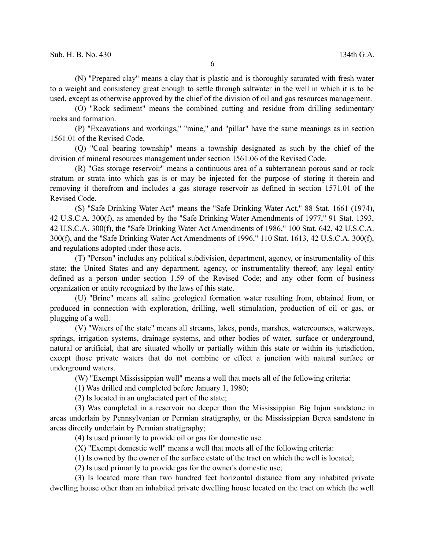(N) "Prepared clay" means a clay that is plastic and is thoroughly saturated with fresh water to a weight and consistency great enough to settle through saltwater in the well in which it is to be used, except as otherwise approved by the chief of the division of oil and gas resources management.

(O) "Rock sediment" means the combined cutting and residue from drilling sedimentary rocks and formation.

(P) "Excavations and workings," "mine," and "pillar" have the same meanings as in section 1561.01 of the Revised Code.

(Q) "Coal bearing township" means a township designated as such by the chief of the division of mineral resources management under section 1561.06 of the Revised Code.

(R) "Gas storage reservoir" means a continuous area of a subterranean porous sand or rock stratum or strata into which gas is or may be injected for the purpose of storing it therein and removing it therefrom and includes a gas storage reservoir as defined in section 1571.01 of the Revised Code.

(S) "Safe Drinking Water Act" means the "Safe Drinking Water Act," 88 Stat. 1661 (1974), 42 U.S.C.A. 300(f), as amended by the "Safe Drinking Water Amendments of 1977," 91 Stat. 1393, 42 U.S.C.A. 300(f), the "Safe Drinking Water Act Amendments of 1986," 100 Stat. 642, 42 U.S.C.A. 300(f), and the "Safe Drinking Water Act Amendments of 1996," 110 Stat. 1613, 42 U.S.C.A. 300(f), and regulations adopted under those acts.

(T) "Person" includes any political subdivision, department, agency, or instrumentality of this state; the United States and any department, agency, or instrumentality thereof; any legal entity defined as a person under section 1.59 of the Revised Code; and any other form of business organization or entity recognized by the laws of this state.

(U) "Brine" means all saline geological formation water resulting from, obtained from, or produced in connection with exploration, drilling, well stimulation, production of oil or gas, or plugging of a well.

(V) "Waters of the state" means all streams, lakes, ponds, marshes, watercourses, waterways, springs, irrigation systems, drainage systems, and other bodies of water, surface or underground, natural or artificial, that are situated wholly or partially within this state or within its jurisdiction, except those private waters that do not combine or effect a junction with natural surface or underground waters.

(W) "Exempt Mississippian well" means a well that meets all of the following criteria:

(1) Was drilled and completed before January 1, 1980;

(2) Is located in an unglaciated part of the state;

(3) Was completed in a reservoir no deeper than the Mississippian Big Injun sandstone in areas underlain by Pennsylvanian or Permian stratigraphy, or the Mississippian Berea sandstone in areas directly underlain by Permian stratigraphy;

(4) Is used primarily to provide oil or gas for domestic use.

(X) "Exempt domestic well" means a well that meets all of the following criteria:

(1) Is owned by the owner of the surface estate of the tract on which the well is located;

(2) Is used primarily to provide gas for the owner's domestic use;

(3) Is located more than two hundred feet horizontal distance from any inhabited private dwelling house other than an inhabited private dwelling house located on the tract on which the well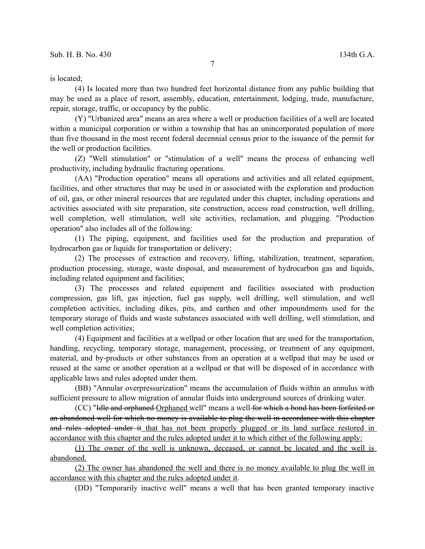is located;

(4) Is located more than two hundred feet horizontal distance from any public building that may be used as a place of resort, assembly, education, entertainment, lodging, trade, manufacture, repair, storage, traffic, or occupancy by the public.

(Y) "Urbanized area" means an area where a well or production facilities of a well are located within a municipal corporation or within a township that has an unincorporated population of more than five thousand in the most recent federal decennial census prior to the issuance of the permit for the well or production facilities.

(Z) "Well stimulation" or "stimulation of a well" means the process of enhancing well productivity, including hydraulic fracturing operations.

(AA) "Production operation" means all operations and activities and all related equipment, facilities, and other structures that may be used in or associated with the exploration and production of oil, gas, or other mineral resources that are regulated under this chapter, including operations and activities associated with site preparation, site construction, access road construction, well drilling, well completion, well stimulation, well site activities, reclamation, and plugging. "Production operation" also includes all of the following:

(1) The piping, equipment, and facilities used for the production and preparation of hydrocarbon gas or liquids for transportation or delivery;

(2) The processes of extraction and recovery, lifting, stabilization, treatment, separation, production processing, storage, waste disposal, and measurement of hydrocarbon gas and liquids, including related equipment and facilities;

(3) The processes and related equipment and facilities associated with production compression, gas lift, gas injection, fuel gas supply, well drilling, well stimulation, and well completion activities, including dikes, pits, and earthen and other impoundments used for the temporary storage of fluids and waste substances associated with well drilling, well stimulation, and well completion activities;

(4) Equipment and facilities at a wellpad or other location that are used for the transportation, handling, recycling, temporary storage, management, processing, or treatment of any equipment, material, and by-products or other substances from an operation at a wellpad that may be used or reused at the same or another operation at a wellpad or that will be disposed of in accordance with applicable laws and rules adopted under them.

(BB) "Annular overpressurization" means the accumulation of fluids within an annulus with sufficient pressure to allow migration of annular fluids into underground sources of drinking water.

(CC) "Idle and orphaned Orphaned well" means a well for which a bond has been forfeited or an abandoned well for which no money is available to plug the well in accordance with this chapter and rules adopted under it that has not been properly plugged or its land surface restored in accordance with this chapter and the rules adopted under it to which either of the following apply:

(1) The owner of the well is unknown, deceased, or cannot be located and the well is abandoned.

(2) The owner has abandoned the well and there is no money available to plug the well in accordance with this chapter and the rules adopted under it.

(DD) "Temporarily inactive well" means a well that has been granted temporary inactive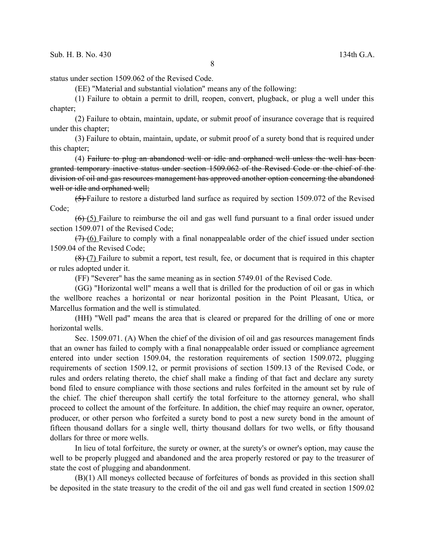status under section 1509.062 of the Revised Code.

(EE) "Material and substantial violation" means any of the following:

(1) Failure to obtain a permit to drill, reopen, convert, plugback, or plug a well under this chapter;

(2) Failure to obtain, maintain, update, or submit proof of insurance coverage that is required under this chapter;

(3) Failure to obtain, maintain, update, or submit proof of a surety bond that is required under this chapter;

(4) Failure to plug an abandoned well or idle and orphaned well unless the well has been granted temporary inactive status under section 1509.062 of the Revised Code or the chief of the division of oil and gas resources management has approved another option concerning the abandoned well or idle and orphaned well;

(5) Failure to restore a disturbed land surface as required by section 1509.072 of the Revised Code;

 $(6)$  (5) Failure to reimburse the oil and gas well fund pursuant to a final order issued under section 1509.071 of the Revised Code;

(7) (6) Failure to comply with a final nonappealable order of the chief issued under section 1509.04 of the Revised Code;

(8) (7) Failure to submit a report, test result, fee, or document that is required in this chapter or rules adopted under it.

(FF) "Severer" has the same meaning as in section 5749.01 of the Revised Code.

(GG) "Horizontal well" means a well that is drilled for the production of oil or gas in which the wellbore reaches a horizontal or near horizontal position in the Point Pleasant, Utica, or Marcellus formation and the well is stimulated.

(HH) "Well pad" means the area that is cleared or prepared for the drilling of one or more horizontal wells.

Sec. 1509.071. (A) When the chief of the division of oil and gas resources management finds that an owner has failed to comply with a final nonappealable order issued or compliance agreement entered into under section 1509.04, the restoration requirements of section 1509.072, plugging requirements of section 1509.12, or permit provisions of section 1509.13 of the Revised Code, or rules and orders relating thereto, the chief shall make a finding of that fact and declare any surety bond filed to ensure compliance with those sections and rules forfeited in the amount set by rule of the chief. The chief thereupon shall certify the total forfeiture to the attorney general, who shall proceed to collect the amount of the forfeiture. In addition, the chief may require an owner, operator, producer, or other person who forfeited a surety bond to post a new surety bond in the amount of fifteen thousand dollars for a single well, thirty thousand dollars for two wells, or fifty thousand dollars for three or more wells.

In lieu of total forfeiture, the surety or owner, at the surety's or owner's option, may cause the well to be properly plugged and abandoned and the area properly restored or pay to the treasurer of state the cost of plugging and abandonment.

(B)(1) All moneys collected because of forfeitures of bonds as provided in this section shall be deposited in the state treasury to the credit of the oil and gas well fund created in section 1509.02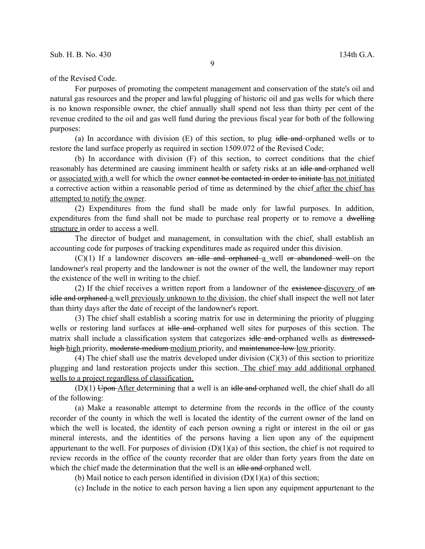of the Revised Code.

For purposes of promoting the competent management and conservation of the state's oil and natural gas resources and the proper and lawful plugging of historic oil and gas wells for which there is no known responsible owner, the chief annually shall spend not less than thirty per cent of the revenue credited to the oil and gas well fund during the previous fiscal year for both of the following purposes:

(a) In accordance with division  $(E)$  of this section, to plug idle and orphaned wells or to restore the land surface properly as required in section 1509.072 of the Revised Code;

(b) In accordance with division (F) of this section, to correct conditions that the chief reasonably has determined are causing imminent health or safety risks at an idle and orphaned well or associated with a well for which the owner cannot be contacted in order to initiate has not initiated a corrective action within a reasonable period of time as determined by the chief after the chief has attempted to notify the owner.

(2) Expenditures from the fund shall be made only for lawful purposes. In addition, expenditures from the fund shall not be made to purchase real property or to remove a dwelling structure in order to access a well.

The director of budget and management, in consultation with the chief, shall establish an accounting code for purposes of tracking expenditures made as required under this division.

 $(C)(1)$  If a landowner discovers an idle and orphaned  $a$  well or abandoned well on the landowner's real property and the landowner is not the owner of the well, the landowner may report the existence of the well in writing to the chief.

(2) If the chief receives a written report from a landowner of the existence-discovery of an idle and orphaned a well previously unknown to the division, the chief shall inspect the well not later than thirty days after the date of receipt of the landowner's report.

(3) The chief shall establish a scoring matrix for use in determining the priority of plugging wells or restoring land surfaces at idle and orphaned well sites for purposes of this section. The matrix shall include a classification system that categorizes idle and orphaned wells as distressedhigh high priority, moderate-medium-medium priority, and maintenance-low low priority.

(4) The chief shall use the matrix developed under division  $(C)(3)$  of this section to prioritize plugging and land restoration projects under this section. The chief may add additional orphaned wells to a project regardless of classification.

 $(D)(1)$  Upon After determining that a well is an idle and orphaned well, the chief shall do all of the following:

(a) Make a reasonable attempt to determine from the records in the office of the county recorder of the county in which the well is located the identity of the current owner of the land on which the well is located, the identity of each person owning a right or interest in the oil or gas mineral interests, and the identities of the persons having a lien upon any of the equipment appurtenant to the well. For purposes of division  $(D)(1)(a)$  of this section, the chief is not required to review records in the office of the county recorder that are older than forty years from the date on which the chief made the determination that the well is an idle and orphaned well.

(b) Mail notice to each person identified in division  $(D)(1)(a)$  of this section;

(c) Include in the notice to each person having a lien upon any equipment appurtenant to the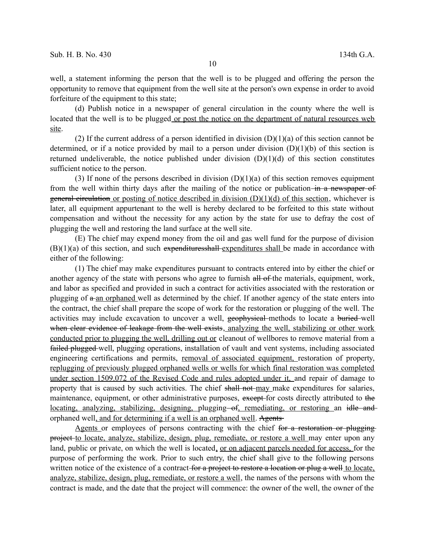well, a statement informing the person that the well is to be plugged and offering the person the opportunity to remove that equipment from the well site at the person's own expense in order to avoid forfeiture of the equipment to this state;

(d) Publish notice in a newspaper of general circulation in the county where the well is located that the well is to be plugged or post the notice on the department of natural resources web site.

(2) If the current address of a person identified in division  $(D)(1)(a)$  of this section cannot be determined, or if a notice provided by mail to a person under division  $(D)(1)(b)$  of this section is returned undeliverable, the notice published under division  $(D)(1)(d)$  of this section constitutes sufficient notice to the person.

(3) If none of the persons described in division  $(D)(1)(a)$  of this section removes equipment from the well within thirty days after the mailing of the notice or publication in a newspaper of general circulation or posting of notice described in division  $(D)(1)(d)$  of this section, whichever is later, all equipment appurtenant to the well is hereby declared to be forfeited to this state without compensation and without the necessity for any action by the state for use to defray the cost of plugging the well and restoring the land surface at the well site.

(E) The chief may expend money from the oil and gas well fund for the purpose of division  $(B)(1)(a)$  of this section, and such expendituresshall expenditures shall be made in accordance with either of the following:

(1) The chief may make expenditures pursuant to contracts entered into by either the chief or another agency of the state with persons who agree to furnish all of the materials, equipment, work, and labor as specified and provided in such a contract for activities associated with the restoration or plugging of a an orphaned well as determined by the chief. If another agency of the state enters into the contract, the chief shall prepare the scope of work for the restoration or plugging of the well. The activities may include excavation to uncover a well, **geophysical** methods to locate a buried-well when clear evidence of leakage from the well exists, analyzing the well, stabilizing or other work conducted prior to plugging the well, drilling out or cleanout of wellbores to remove material from a failed plugged well, plugging operations, installation of vault and vent systems, including associated engineering certifications and permits, removal of associated equipment, restoration of property, replugging of previously plugged orphaned wells or wells for which final restoration was completed under section 1509.072 of the Revised Code and rules adopted under it, and repair of damage to property that is caused by such activities. The chief shall not may make expenditures for salaries, maintenance, equipment, or other administrative purposes, except for costs directly attributed to the locating, analyzing, stabilizing, designing, plugging of, remediating, or restoring an idle and orphaned well, and for determining if a well is an orphaned well. Agents

Agents or employees of persons contracting with the chief for a restoration or plugging project to locate, analyze, stabilize, design, plug, remediate, or restore a well may enter upon any land, public or private, on which the well is located, <u>or on adjacent parcels needed for access</u>, for the purpose of performing the work. Prior to such entry, the chief shall give to the following persons written notice of the existence of a contract-for a project to restore a location or plug a well to locate, analyze, stabilize, design, plug, remediate, or restore a well, the names of the persons with whom the contract is made, and the date that the project will commence: the owner of the well, the owner of the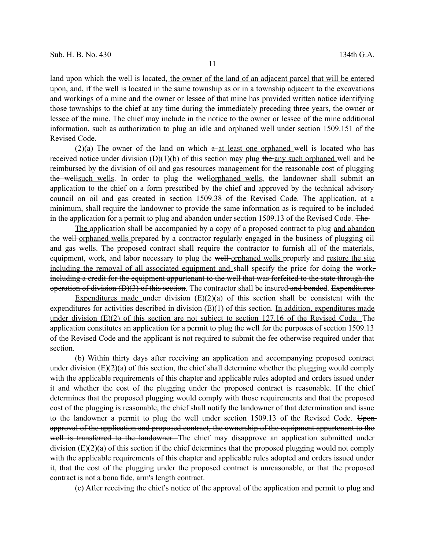land upon which the well is located, the owner of the land of an adjacent parcel that will be entered upon, and, if the well is located in the same township as or in a township adjacent to the excavations and workings of a mine and the owner or lessee of that mine has provided written notice identifying those townships to the chief at any time during the immediately preceding three years, the owner or lessee of the mine. The chief may include in the notice to the owner or lessee of the mine additional information, such as authorization to plug an idle and orphaned well under section 1509.151 of the Revised Code.

(2)(a) The owner of the land on which  $a$ -at least one orphaned well is located who has received notice under division  $(D)(1)(b)$  of this section may plug the any such orphaned well and be reimbursed by the division of oil and gas resources management for the reasonable cost of plugging the wellsuch wells. In order to plug the well-orphaned wells, the landowner shall submit an application to the chief on a form prescribed by the chief and approved by the technical advisory council on oil and gas created in section 1509.38 of the Revised Code. The application, at a minimum, shall require the landowner to provide the same information as is required to be included in the application for a permit to plug and abandon under section 1509.13 of the Revised Code. The

The application shall be accompanied by a copy of a proposed contract to plug and abandon the well orphaned wells prepared by a contractor regularly engaged in the business of plugging oil and gas wells. The proposed contract shall require the contractor to furnish all of the materials, equipment, work, and labor necessary to plug the well-orphaned wells properly and restore the site including the removal of all associated equipment and shall specify the price for doing the work, including a credit for the equipment appurtenant to the well that was forfeited to the state through the operation of division (D)(3) of this section. The contractor shall be insured and bonded. Expenditures

Expenditures made under division  $(E)(2)(a)$  of this section shall be consistent with the expenditures for activities described in division  $(E)(1)$  of this section. In addition, expenditures made under division (E)(2) of this section are not subject to section 127.16 of the Revised Code. The application constitutes an application for a permit to plug the well for the purposes of section 1509.13 of the Revised Code and the applicant is not required to submit the fee otherwise required under that section.

(b) Within thirty days after receiving an application and accompanying proposed contract under division (E)(2)(a) of this section, the chief shall determine whether the plugging would comply with the applicable requirements of this chapter and applicable rules adopted and orders issued under it and whether the cost of the plugging under the proposed contract is reasonable. If the chief determines that the proposed plugging would comply with those requirements and that the proposed cost of the plugging is reasonable, the chief shall notify the landowner of that determination and issue to the landowner a permit to plug the well under section  $1509.13$  of the Revised Code. Uponapproval of the application and proposed contract, the ownership of the equipment appurtenant to the well is transferred to the landowner. The chief may disapprove an application submitted under division (E)(2)(a) of this section if the chief determines that the proposed plugging would not comply with the applicable requirements of this chapter and applicable rules adopted and orders issued under it, that the cost of the plugging under the proposed contract is unreasonable, or that the proposed contract is not a bona fide, arm's length contract.

(c) After receiving the chief's notice of the approval of the application and permit to plug and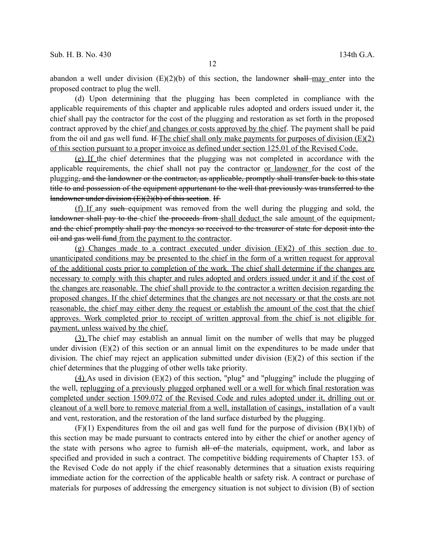abandon a well under division  $(E)(2)(b)$  of this section, the landowner shall may enter into the proposed contract to plug the well.

(d) Upon determining that the plugging has been completed in compliance with the applicable requirements of this chapter and applicable rules adopted and orders issued under it, the chief shall pay the contractor for the cost of the plugging and restoration as set forth in the proposed contract approved by the chief and changes or costs approved by the chief. The payment shall be paid from the oil and gas well fund. If The chief shall only make payments for purposes of division  $(E)(2)$ of this section pursuant to a proper invoice as defined under section 125.01 of the Revised Code.

(e) If the chief determines that the plugging was not completed in accordance with the applicable requirements, the chief shall not pay the contractor or landowner for the cost of the plugging, and the landowner or the contractor, as applicable, promptly shall transfer back to this state title to and possession of the equipment appurtenant to the well that previously was transferred to the landowner under division (E)(2)(b) of this section. If

(f) If any such equipment was removed from the well during the plugging and sold, the landowner shall pay to the chief the proceeds from shall deduct the sale amount of the equipment. and the chief promptly shall pay the moneys so received to the treasurer of state for deposit into the oil and gas well fund from the payment to the contractor.

(g) Changes made to a contract executed under division (E)(2) of this section due to unanticipated conditions may be presented to the chief in the form of a written request for approval of the additional costs prior to completion of the work. The chief shall determine if the changes are necessary to comply with this chapter and rules adopted and orders issued under it and if the cost of the changes are reasonable. The chief shall provide to the contractor a written decision regarding the proposed changes. If the chief determines that the changes are not necessary or that the costs are not reasonable, the chief may either deny the request or establish the amount of the cost that the chief approves. Work completed prior to receipt of written approval from the chief is not eligible for payment, unless waived by the chief.

(3) The chief may establish an annual limit on the number of wells that may be plugged under division (E)(2) of this section or an annual limit on the expenditures to be made under that division. The chief may reject an application submitted under division  $(E)(2)$  of this section if the chief determines that the plugging of other wells take priority.

(4) As used in division  $(E)(2)$  of this section, "plug" and "plugging" include the plugging of the well, replugging of a previously plugged orphaned well or a well for which final restoration was completed under section 1509.072 of the Revised Code and rules adopted under it, drilling out or cleanout of a well bore to remove material from a well, installation of casings, installation of a vault and vent, restoration, and the restoration of the land surface disturbed by the plugging.

 $(F)(1)$  Expenditures from the oil and gas well fund for the purpose of division  $(B)(1)(b)$  of this section may be made pursuant to contracts entered into by either the chief or another agency of the state with persons who agree to furnish all of the materials, equipment, work, and labor as specified and provided in such a contract. The competitive bidding requirements of Chapter 153. of the Revised Code do not apply if the chief reasonably determines that a situation exists requiring immediate action for the correction of the applicable health or safety risk. A contract or purchase of materials for purposes of addressing the emergency situation is not subject to division (B) of section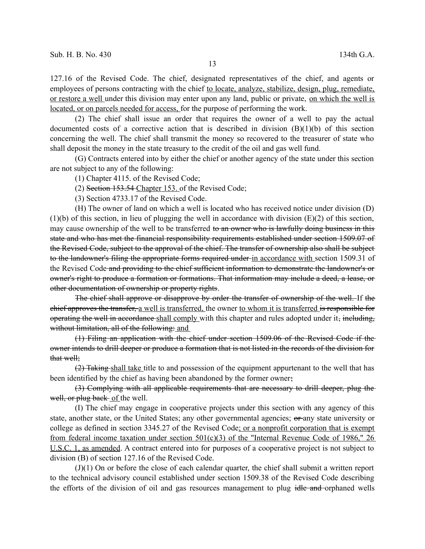127.16 of the Revised Code. The chief, designated representatives of the chief, and agents or employees of persons contracting with the chief to locate, analyze, stabilize, design, plug, remediate, or restore a well under this division may enter upon any land, public or private, on which the well is located, or on parcels needed for access, for the purpose of performing the work.

(2) The chief shall issue an order that requires the owner of a well to pay the actual documented costs of a corrective action that is described in division  $(B)(1)(b)$  of this section concerning the well. The chief shall transmit the money so recovered to the treasurer of state who shall deposit the money in the state treasury to the credit of the oil and gas well fund.

(G) Contracts entered into by either the chief or another agency of the state under this section are not subject to any of the following:

(1) Chapter 4115. of the Revised Code;

(2) Section 153.54 Chapter 153. of the Revised Code;

(3) Section 4733.17 of the Revised Code.

(H) The owner of land on which a well is located who has received notice under division (D)  $(1)(b)$  of this section, in lieu of plugging the well in accordance with division  $(E)(2)$  of this section, may cause ownership of the well to be transferred to an owner who is lawfully doing business in this state and who has met the financial responsibility requirements established under section 1509.07 of the Revised Code, subject to the approval of the chief. The transfer of ownership also shall be subject to the landowner's filing the appropriate forms required under in accordance with section 1509.31 of the Revised Code and providing to the chief sufficient information to demonstrate the landowner's or owner's right to produce a formation or formations. That information may include a deed, a lease, or other documentation of ownership or property rights.

The chief shall approve or disapprove by order the transfer of ownership of the well. If the chief approves the transfer, a well is transferred, the owner to whom it is transferred is responsible for operating the well in accordance shall comply with this chapter and rules adopted under it, including, without limitation, all of the following: and

(1) Filing an application with the chief under section 1509.06 of the Revised Code if the owner intends to drill deeper or produce a formation that is not listed in the records of the division for that well;

 $(2)$  Taking shall take title to and possession of the equipment appurtenant to the well that has been identified by the chief as having been abandoned by the former owner;

(3) Complying with all applicable requirements that are necessary to drill deeper, plug the well, or plug back of the well.

(I) The chief may engage in cooperative projects under this section with any agency of this state, another state, or the United States; any other governmental agencies; or any state university or college as defined in section 3345.27 of the Revised Code; or a nonprofit corporation that is exempt from federal income taxation under section  $501(c)(3)$  of the "Internal Revenue Code of 1986," 26 U.S.C. 1, as amended. A contract entered into for purposes of a cooperative project is not subject to division (B) of section 127.16 of the Revised Code.

(J)(1) On or before the close of each calendar quarter, the chief shall submit a written report to the technical advisory council established under section 1509.38 of the Revised Code describing the efforts of the division of oil and gas resources management to plug idle and orphaned wells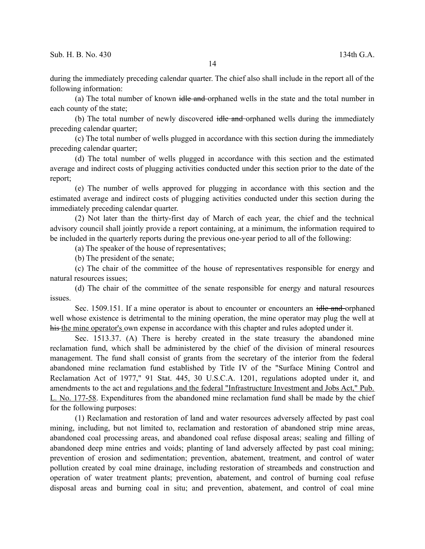during the immediately preceding calendar quarter. The chief also shall include in the report all of the following information:

(a) The total number of known idle and orphaned wells in the state and the total number in each county of the state;

(b) The total number of newly discovered idle and orphaned wells during the immediately preceding calendar quarter;

(c) The total number of wells plugged in accordance with this section during the immediately preceding calendar quarter;

(d) The total number of wells plugged in accordance with this section and the estimated average and indirect costs of plugging activities conducted under this section prior to the date of the report;

(e) The number of wells approved for plugging in accordance with this section and the estimated average and indirect costs of plugging activities conducted under this section during the immediately preceding calendar quarter.

(2) Not later than the thirty-first day of March of each year, the chief and the technical advisory council shall jointly provide a report containing, at a minimum, the information required to be included in the quarterly reports during the previous one-year period to all of the following:

(a) The speaker of the house of representatives;

(b) The president of the senate;

(c) The chair of the committee of the house of representatives responsible for energy and natural resources issues;

(d) The chair of the committee of the senate responsible for energy and natural resources issues.

Sec. 1509.151. If a mine operator is about to encounter or encounters an idle and orphaned well whose existence is detrimental to the mining operation, the mine operator may plug the well at his the mine operator's own expense in accordance with this chapter and rules adopted under it.

Sec. 1513.37. (A) There is hereby created in the state treasury the abandoned mine reclamation fund, which shall be administered by the chief of the division of mineral resources management. The fund shall consist of grants from the secretary of the interior from the federal abandoned mine reclamation fund established by Title IV of the "Surface Mining Control and Reclamation Act of 1977," 91 Stat. 445, 30 U.S.C.A. 1201, regulations adopted under it, and amendments to the act and regulations and the federal "Infrastructure Investment and Jobs Act," Pub. L. No. 177-58. Expenditures from the abandoned mine reclamation fund shall be made by the chief for the following purposes:

(1) Reclamation and restoration of land and water resources adversely affected by past coal mining, including, but not limited to, reclamation and restoration of abandoned strip mine areas, abandoned coal processing areas, and abandoned coal refuse disposal areas; sealing and filling of abandoned deep mine entries and voids; planting of land adversely affected by past coal mining; prevention of erosion and sedimentation; prevention, abatement, treatment, and control of water pollution created by coal mine drainage, including restoration of streambeds and construction and operation of water treatment plants; prevention, abatement, and control of burning coal refuse disposal areas and burning coal in situ; and prevention, abatement, and control of coal mine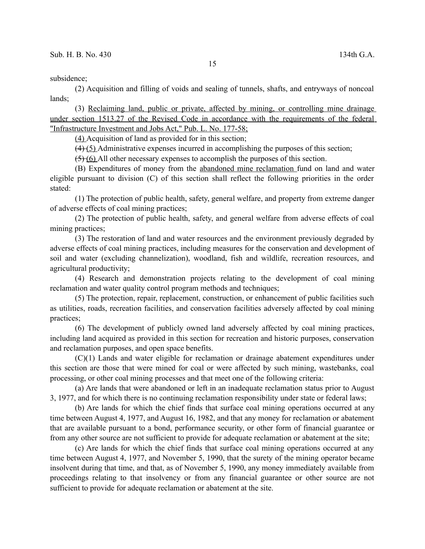subsidence;

(2) Acquisition and filling of voids and sealing of tunnels, shafts, and entryways of noncoal lands;

(3) Reclaiming land, public or private, affected by mining, or controlling mine drainage under section 1513.27 of the Revised Code in accordance with the requirements of the federal "Infrastructure Investment and Jobs Act," Pub. L. No. 177-58;

(4) Acquisition of land as provided for in this section;

 $(4)$  (5) Administrative expenses incurred in accomplishing the purposes of this section;

(5) (6) All other necessary expenses to accomplish the purposes of this section.

(B) Expenditures of money from the abandoned mine reclamation fund on land and water eligible pursuant to division (C) of this section shall reflect the following priorities in the order stated:

(1) The protection of public health, safety, general welfare, and property from extreme danger of adverse effects of coal mining practices;

(2) The protection of public health, safety, and general welfare from adverse effects of coal mining practices;

(3) The restoration of land and water resources and the environment previously degraded by adverse effects of coal mining practices, including measures for the conservation and development of soil and water (excluding channelization), woodland, fish and wildlife, recreation resources, and agricultural productivity;

(4) Research and demonstration projects relating to the development of coal mining reclamation and water quality control program methods and techniques;

(5) The protection, repair, replacement, construction, or enhancement of public facilities such as utilities, roads, recreation facilities, and conservation facilities adversely affected by coal mining practices;

(6) The development of publicly owned land adversely affected by coal mining practices, including land acquired as provided in this section for recreation and historic purposes, conservation and reclamation purposes, and open space benefits.

(C)(1) Lands and water eligible for reclamation or drainage abatement expenditures under this section are those that were mined for coal or were affected by such mining, wastebanks, coal processing, or other coal mining processes and that meet one of the following criteria:

(a) Are lands that were abandoned or left in an inadequate reclamation status prior to August 3, 1977, and for which there is no continuing reclamation responsibility under state or federal laws;

(b) Are lands for which the chief finds that surface coal mining operations occurred at any time between August 4, 1977, and August 16, 1982, and that any money for reclamation or abatement that are available pursuant to a bond, performance security, or other form of financial guarantee or from any other source are not sufficient to provide for adequate reclamation or abatement at the site;

(c) Are lands for which the chief finds that surface coal mining operations occurred at any time between August 4, 1977, and November 5, 1990, that the surety of the mining operator became insolvent during that time, and that, as of November 5, 1990, any money immediately available from proceedings relating to that insolvency or from any financial guarantee or other source are not sufficient to provide for adequate reclamation or abatement at the site.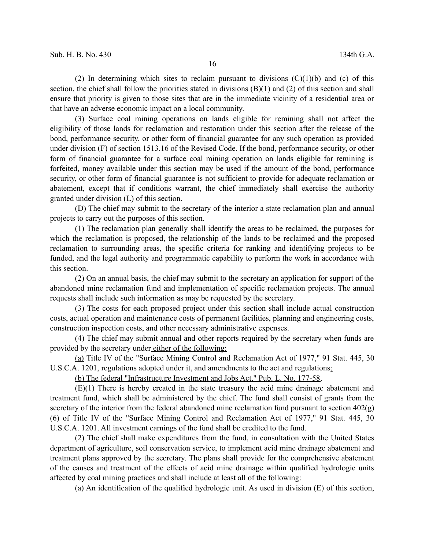(2) In determining which sites to reclaim pursuant to divisions  $(C)(1)(b)$  and (c) of this section, the chief shall follow the priorities stated in divisions (B)(1) and (2) of this section and shall ensure that priority is given to those sites that are in the immediate vicinity of a residential area or that have an adverse economic impact on a local community.

(3) Surface coal mining operations on lands eligible for remining shall not affect the eligibility of those lands for reclamation and restoration under this section after the release of the bond, performance security, or other form of financial guarantee for any such operation as provided under division (F) of section 1513.16 of the Revised Code. If the bond, performance security, or other form of financial guarantee for a surface coal mining operation on lands eligible for remining is forfeited, money available under this section may be used if the amount of the bond, performance security, or other form of financial guarantee is not sufficient to provide for adequate reclamation or abatement, except that if conditions warrant, the chief immediately shall exercise the authority granted under division (L) of this section.

(D) The chief may submit to the secretary of the interior a state reclamation plan and annual projects to carry out the purposes of this section.

(1) The reclamation plan generally shall identify the areas to be reclaimed, the purposes for which the reclamation is proposed, the relationship of the lands to be reclaimed and the proposed reclamation to surrounding areas, the specific criteria for ranking and identifying projects to be funded, and the legal authority and programmatic capability to perform the work in accordance with this section.

(2) On an annual basis, the chief may submit to the secretary an application for support of the abandoned mine reclamation fund and implementation of specific reclamation projects. The annual requests shall include such information as may be requested by the secretary.

(3) The costs for each proposed project under this section shall include actual construction costs, actual operation and maintenance costs of permanent facilities, planning and engineering costs, construction inspection costs, and other necessary administrative expenses.

(4) The chief may submit annual and other reports required by the secretary when funds are provided by the secretary under either of the following:

(a) Title IV of the "Surface Mining Control and Reclamation Act of 1977," 91 Stat. 445, 30 U.S.C.A. 1201, regulations adopted under it, and amendments to the act and regulations;

(b) The federal "Infrastructure Investment and Jobs Act," Pub. L. No. 177-58.

(E)(1) There is hereby created in the state treasury the acid mine drainage abatement and treatment fund, which shall be administered by the chief. The fund shall consist of grants from the secretary of the interior from the federal abandoned mine reclamation fund pursuant to section  $402(g)$ (6) of Title IV of the "Surface Mining Control and Reclamation Act of 1977," 91 Stat. 445, 30 U.S.C.A. 1201. All investment earnings of the fund shall be credited to the fund.

(2) The chief shall make expenditures from the fund, in consultation with the United States department of agriculture, soil conservation service, to implement acid mine drainage abatement and treatment plans approved by the secretary. The plans shall provide for the comprehensive abatement of the causes and treatment of the effects of acid mine drainage within qualified hydrologic units affected by coal mining practices and shall include at least all of the following:

(a) An identification of the qualified hydrologic unit. As used in division (E) of this section,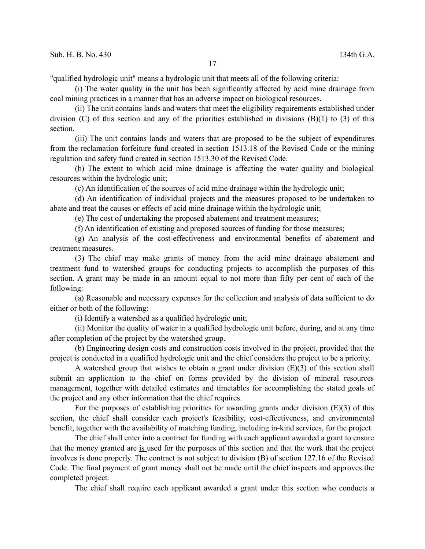"qualified hydrologic unit" means a hydrologic unit that meets all of the following criteria:

(i) The water quality in the unit has been significantly affected by acid mine drainage from coal mining practices in a manner that has an adverse impact on biological resources.

(ii) The unit contains lands and waters that meet the eligibility requirements established under division (C) of this section and any of the priorities established in divisions (B)(1) to (3) of this section.

(iii) The unit contains lands and waters that are proposed to be the subject of expenditures from the reclamation forfeiture fund created in section 1513.18 of the Revised Code or the mining regulation and safety fund created in section 1513.30 of the Revised Code.

(b) The extent to which acid mine drainage is affecting the water quality and biological resources within the hydrologic unit;

(c) An identification of the sources of acid mine drainage within the hydrologic unit;

(d) An identification of individual projects and the measures proposed to be undertaken to abate and treat the causes or effects of acid mine drainage within the hydrologic unit;

(e) The cost of undertaking the proposed abatement and treatment measures;

(f) An identification of existing and proposed sources of funding for those measures;

(g) An analysis of the cost-effectiveness and environmental benefits of abatement and treatment measures.

(3) The chief may make grants of money from the acid mine drainage abatement and treatment fund to watershed groups for conducting projects to accomplish the purposes of this section. A grant may be made in an amount equal to not more than fifty per cent of each of the following:

(a) Reasonable and necessary expenses for the collection and analysis of data sufficient to do either or both of the following:

(i) Identify a watershed as a qualified hydrologic unit;

(ii) Monitor the quality of water in a qualified hydrologic unit before, during, and at any time after completion of the project by the watershed group.

(b) Engineering design costs and construction costs involved in the project, provided that the project is conducted in a qualified hydrologic unit and the chief considers the project to be a priority.

A watershed group that wishes to obtain a grant under division (E)(3) of this section shall submit an application to the chief on forms provided by the division of mineral resources management, together with detailed estimates and timetables for accomplishing the stated goals of the project and any other information that the chief requires.

For the purposes of establishing priorities for awarding grants under division  $(E)(3)$  of this section, the chief shall consider each project's feasibility, cost-effectiveness, and environmental benefit, together with the availability of matching funding, including in-kind services, for the project.

The chief shall enter into a contract for funding with each applicant awarded a grant to ensure that the money granted are is used for the purposes of this section and that the work that the project involves is done properly. The contract is not subject to division (B) of section 127.16 of the Revised Code. The final payment of grant money shall not be made until the chief inspects and approves the completed project.

The chief shall require each applicant awarded a grant under this section who conducts a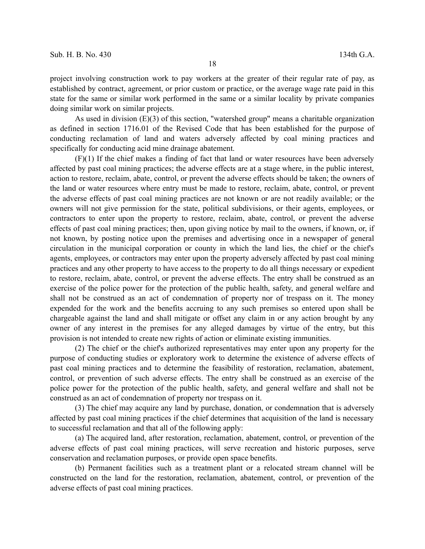project involving construction work to pay workers at the greater of their regular rate of pay, as established by contract, agreement, or prior custom or practice, or the average wage rate paid in this state for the same or similar work performed in the same or a similar locality by private companies doing similar work on similar projects.

As used in division (E)(3) of this section, "watershed group" means a charitable organization as defined in section 1716.01 of the Revised Code that has been established for the purpose of conducting reclamation of land and waters adversely affected by coal mining practices and specifically for conducting acid mine drainage abatement.

(F)(1) If the chief makes a finding of fact that land or water resources have been adversely affected by past coal mining practices; the adverse effects are at a stage where, in the public interest, action to restore, reclaim, abate, control, or prevent the adverse effects should be taken; the owners of the land or water resources where entry must be made to restore, reclaim, abate, control, or prevent the adverse effects of past coal mining practices are not known or are not readily available; or the owners will not give permission for the state, political subdivisions, or their agents, employees, or contractors to enter upon the property to restore, reclaim, abate, control, or prevent the adverse effects of past coal mining practices; then, upon giving notice by mail to the owners, if known, or, if not known, by posting notice upon the premises and advertising once in a newspaper of general circulation in the municipal corporation or county in which the land lies, the chief or the chief's agents, employees, or contractors may enter upon the property adversely affected by past coal mining practices and any other property to have access to the property to do all things necessary or expedient to restore, reclaim, abate, control, or prevent the adverse effects. The entry shall be construed as an exercise of the police power for the protection of the public health, safety, and general welfare and shall not be construed as an act of condemnation of property nor of trespass on it. The money expended for the work and the benefits accruing to any such premises so entered upon shall be chargeable against the land and shall mitigate or offset any claim in or any action brought by any owner of any interest in the premises for any alleged damages by virtue of the entry, but this provision is not intended to create new rights of action or eliminate existing immunities.

(2) The chief or the chief's authorized representatives may enter upon any property for the purpose of conducting studies or exploratory work to determine the existence of adverse effects of past coal mining practices and to determine the feasibility of restoration, reclamation, abatement, control, or prevention of such adverse effects. The entry shall be construed as an exercise of the police power for the protection of the public health, safety, and general welfare and shall not be construed as an act of condemnation of property nor trespass on it.

(3) The chief may acquire any land by purchase, donation, or condemnation that is adversely affected by past coal mining practices if the chief determines that acquisition of the land is necessary to successful reclamation and that all of the following apply:

(a) The acquired land, after restoration, reclamation, abatement, control, or prevention of the adverse effects of past coal mining practices, will serve recreation and historic purposes, serve conservation and reclamation purposes, or provide open space benefits.

(b) Permanent facilities such as a treatment plant or a relocated stream channel will be constructed on the land for the restoration, reclamation, abatement, control, or prevention of the adverse effects of past coal mining practices.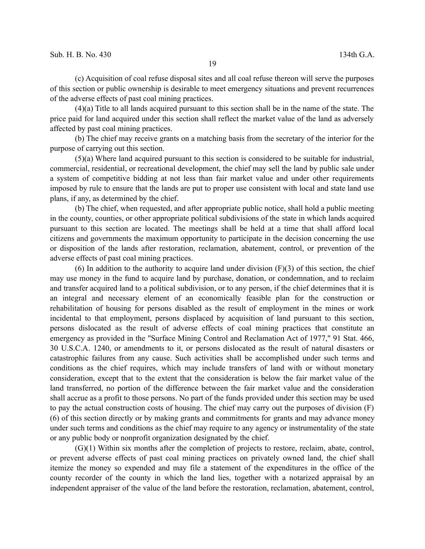(c) Acquisition of coal refuse disposal sites and all coal refuse thereon will serve the purposes of this section or public ownership is desirable to meet emergency situations and prevent recurrences of the adverse effects of past coal mining practices.

(4)(a) Title to all lands acquired pursuant to this section shall be in the name of the state. The price paid for land acquired under this section shall reflect the market value of the land as adversely affected by past coal mining practices.

(b) The chief may receive grants on a matching basis from the secretary of the interior for the purpose of carrying out this section.

(5)(a) Where land acquired pursuant to this section is considered to be suitable for industrial, commercial, residential, or recreational development, the chief may sell the land by public sale under a system of competitive bidding at not less than fair market value and under other requirements imposed by rule to ensure that the lands are put to proper use consistent with local and state land use plans, if any, as determined by the chief.

(b) The chief, when requested, and after appropriate public notice, shall hold a public meeting in the county, counties, or other appropriate political subdivisions of the state in which lands acquired pursuant to this section are located. The meetings shall be held at a time that shall afford local citizens and governments the maximum opportunity to participate in the decision concerning the use or disposition of the lands after restoration, reclamation, abatement, control, or prevention of the adverse effects of past coal mining practices.

(6) In addition to the authority to acquire land under division  $(F)(3)$  of this section, the chief may use money in the fund to acquire land by purchase, donation, or condemnation, and to reclaim and transfer acquired land to a political subdivision, or to any person, if the chief determines that it is an integral and necessary element of an economically feasible plan for the construction or rehabilitation of housing for persons disabled as the result of employment in the mines or work incidental to that employment, persons displaced by acquisition of land pursuant to this section, persons dislocated as the result of adverse effects of coal mining practices that constitute an emergency as provided in the "Surface Mining Control and Reclamation Act of 1977," 91 Stat. 466, 30 U.S.C.A. 1240, or amendments to it, or persons dislocated as the result of natural disasters or catastrophic failures from any cause. Such activities shall be accomplished under such terms and conditions as the chief requires, which may include transfers of land with or without monetary consideration, except that to the extent that the consideration is below the fair market value of the land transferred, no portion of the difference between the fair market value and the consideration shall accrue as a profit to those persons. No part of the funds provided under this section may be used to pay the actual construction costs of housing. The chief may carry out the purposes of division (F) (6) of this section directly or by making grants and commitments for grants and may advance money under such terms and conditions as the chief may require to any agency or instrumentality of the state or any public body or nonprofit organization designated by the chief.

(G)(1) Within six months after the completion of projects to restore, reclaim, abate, control, or prevent adverse effects of past coal mining practices on privately owned land, the chief shall itemize the money so expended and may file a statement of the expenditures in the office of the county recorder of the county in which the land lies, together with a notarized appraisal by an independent appraiser of the value of the land before the restoration, reclamation, abatement, control,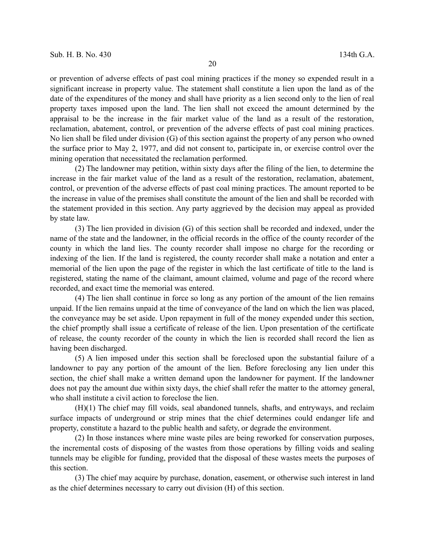or prevention of adverse effects of past coal mining practices if the money so expended result in a significant increase in property value. The statement shall constitute a lien upon the land as of the date of the expenditures of the money and shall have priority as a lien second only to the lien of real property taxes imposed upon the land. The lien shall not exceed the amount determined by the appraisal to be the increase in the fair market value of the land as a result of the restoration, reclamation, abatement, control, or prevention of the adverse effects of past coal mining practices. No lien shall be filed under division (G) of this section against the property of any person who owned the surface prior to May 2, 1977, and did not consent to, participate in, or exercise control over the mining operation that necessitated the reclamation performed.

(2) The landowner may petition, within sixty days after the filing of the lien, to determine the increase in the fair market value of the land as a result of the restoration, reclamation, abatement, control, or prevention of the adverse effects of past coal mining practices. The amount reported to be the increase in value of the premises shall constitute the amount of the lien and shall be recorded with the statement provided in this section. Any party aggrieved by the decision may appeal as provided by state law.

(3) The lien provided in division (G) of this section shall be recorded and indexed, under the name of the state and the landowner, in the official records in the office of the county recorder of the county in which the land lies. The county recorder shall impose no charge for the recording or indexing of the lien. If the land is registered, the county recorder shall make a notation and enter a memorial of the lien upon the page of the register in which the last certificate of title to the land is registered, stating the name of the claimant, amount claimed, volume and page of the record where recorded, and exact time the memorial was entered.

(4) The lien shall continue in force so long as any portion of the amount of the lien remains unpaid. If the lien remains unpaid at the time of conveyance of the land on which the lien was placed, the conveyance may be set aside. Upon repayment in full of the money expended under this section, the chief promptly shall issue a certificate of release of the lien. Upon presentation of the certificate of release, the county recorder of the county in which the lien is recorded shall record the lien as having been discharged.

(5) A lien imposed under this section shall be foreclosed upon the substantial failure of a landowner to pay any portion of the amount of the lien. Before foreclosing any lien under this section, the chief shall make a written demand upon the landowner for payment. If the landowner does not pay the amount due within sixty days, the chief shall refer the matter to the attorney general, who shall institute a civil action to foreclose the lien.

(H)(1) The chief may fill voids, seal abandoned tunnels, shafts, and entryways, and reclaim surface impacts of underground or strip mines that the chief determines could endanger life and property, constitute a hazard to the public health and safety, or degrade the environment.

(2) In those instances where mine waste piles are being reworked for conservation purposes, the incremental costs of disposing of the wastes from those operations by filling voids and sealing tunnels may be eligible for funding, provided that the disposal of these wastes meets the purposes of this section.

(3) The chief may acquire by purchase, donation, easement, or otherwise such interest in land as the chief determines necessary to carry out division (H) of this section.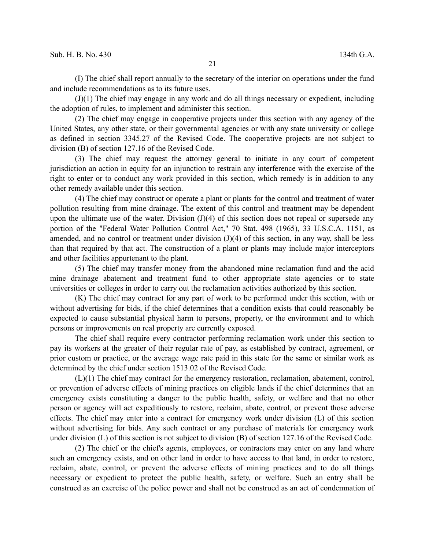(I) The chief shall report annually to the secretary of the interior on operations under the fund and include recommendations as to its future uses.

(J)(1) The chief may engage in any work and do all things necessary or expedient, including the adoption of rules, to implement and administer this section.

(2) The chief may engage in cooperative projects under this section with any agency of the United States, any other state, or their governmental agencies or with any state university or college as defined in section 3345.27 of the Revised Code. The cooperative projects are not subject to division (B) of section 127.16 of the Revised Code.

(3) The chief may request the attorney general to initiate in any court of competent jurisdiction an action in equity for an injunction to restrain any interference with the exercise of the right to enter or to conduct any work provided in this section, which remedy is in addition to any other remedy available under this section.

(4) The chief may construct or operate a plant or plants for the control and treatment of water pollution resulting from mine drainage. The extent of this control and treatment may be dependent upon the ultimate use of the water. Division (J)(4) of this section does not repeal or supersede any portion of the "Federal Water Pollution Control Act," 70 Stat. 498 (1965), 33 U.S.C.A. 1151, as amended, and no control or treatment under division  $J(4)$  of this section, in any way, shall be less than that required by that act. The construction of a plant or plants may include major interceptors and other facilities appurtenant to the plant.

(5) The chief may transfer money from the abandoned mine reclamation fund and the acid mine drainage abatement and treatment fund to other appropriate state agencies or to state universities or colleges in order to carry out the reclamation activities authorized by this section.

(K) The chief may contract for any part of work to be performed under this section, with or without advertising for bids, if the chief determines that a condition exists that could reasonably be expected to cause substantial physical harm to persons, property, or the environment and to which persons or improvements on real property are currently exposed.

The chief shall require every contractor performing reclamation work under this section to pay its workers at the greater of their regular rate of pay, as established by contract, agreement, or prior custom or practice, or the average wage rate paid in this state for the same or similar work as determined by the chief under section 1513.02 of the Revised Code.

(L)(1) The chief may contract for the emergency restoration, reclamation, abatement, control, or prevention of adverse effects of mining practices on eligible lands if the chief determines that an emergency exists constituting a danger to the public health, safety, or welfare and that no other person or agency will act expeditiously to restore, reclaim, abate, control, or prevent those adverse effects. The chief may enter into a contract for emergency work under division (L) of this section without advertising for bids. Any such contract or any purchase of materials for emergency work under division (L) of this section is not subject to division (B) of section 127.16 of the Revised Code.

(2) The chief or the chief's agents, employees, or contractors may enter on any land where such an emergency exists, and on other land in order to have access to that land, in order to restore, reclaim, abate, control, or prevent the adverse effects of mining practices and to do all things necessary or expedient to protect the public health, safety, or welfare. Such an entry shall be construed as an exercise of the police power and shall not be construed as an act of condemnation of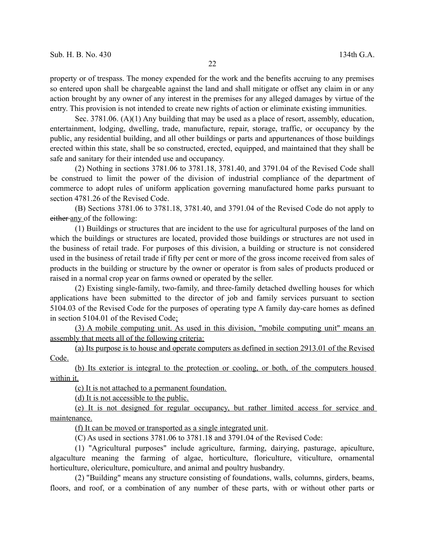property or of trespass. The money expended for the work and the benefits accruing to any premises so entered upon shall be chargeable against the land and shall mitigate or offset any claim in or any action brought by any owner of any interest in the premises for any alleged damages by virtue of the entry. This provision is not intended to create new rights of action or eliminate existing immunities.

Sec. 3781.06. (A)(1) Any building that may be used as a place of resort, assembly, education, entertainment, lodging, dwelling, trade, manufacture, repair, storage, traffic, or occupancy by the public, any residential building, and all other buildings or parts and appurtenances of those buildings erected within this state, shall be so constructed, erected, equipped, and maintained that they shall be safe and sanitary for their intended use and occupancy.

(2) Nothing in sections 3781.06 to 3781.18, 3781.40, and 3791.04 of the Revised Code shall be construed to limit the power of the division of industrial compliance of the department of commerce to adopt rules of uniform application governing manufactured home parks pursuant to section 4781.26 of the Revised Code.

(B) Sections 3781.06 to 3781.18, 3781.40, and 3791.04 of the Revised Code do not apply to either any of the following:

(1) Buildings or structures that are incident to the use for agricultural purposes of the land on which the buildings or structures are located, provided those buildings or structures are not used in the business of retail trade. For purposes of this division, a building or structure is not considered used in the business of retail trade if fifty per cent or more of the gross income received from sales of products in the building or structure by the owner or operator is from sales of products produced or raised in a normal crop year on farms owned or operated by the seller.

(2) Existing single-family, two-family, and three-family detached dwelling houses for which applications have been submitted to the director of job and family services pursuant to section 5104.03 of the Revised Code for the purposes of operating type A family day-care homes as defined in section 5104.01 of the Revised Code;

(3) A mobile computing unit. As used in this division, "mobile computing unit" means an assembly that meets all of the following criteria:

(a) Its purpose is to house and operate computers as defined in section 2913.01 of the Revised Code.

(b) Its exterior is integral to the protection or cooling, or both, of the computers housed within it.

(c) It is not attached to a permanent foundation.

(d) It is not accessible to the public.

(e) It is not designed for regular occupancy, but rather limited access for service and maintenance.

(f) It can be moved or transported as a single integrated unit.

(C) As used in sections 3781.06 to 3781.18 and 3791.04 of the Revised Code:

(1) "Agricultural purposes" include agriculture, farming, dairying, pasturage, apiculture, algaculture meaning the farming of algae, horticulture, floriculture, viticulture, ornamental horticulture, olericulture, pomiculture, and animal and poultry husbandry.

(2) "Building" means any structure consisting of foundations, walls, columns, girders, beams, floors, and roof, or a combination of any number of these parts, with or without other parts or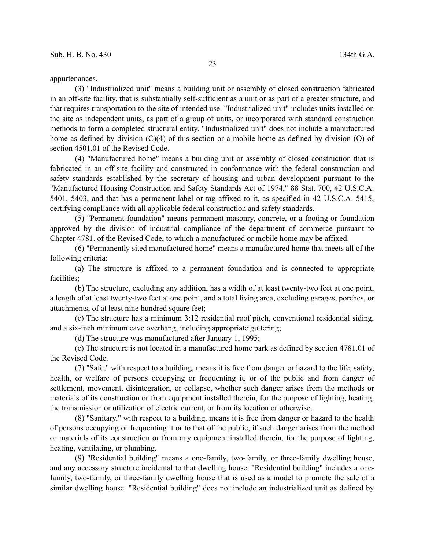appurtenances.

(3) "Industrialized unit" means a building unit or assembly of closed construction fabricated in an off-site facility, that is substantially self-sufficient as a unit or as part of a greater structure, and that requires transportation to the site of intended use. "Industrialized unit" includes units installed on the site as independent units, as part of a group of units, or incorporated with standard construction methods to form a completed structural entity. "Industrialized unit" does not include a manufactured home as defined by division (C)(4) of this section or a mobile home as defined by division (O) of section 4501.01 of the Revised Code.

(4) "Manufactured home" means a building unit or assembly of closed construction that is fabricated in an off-site facility and constructed in conformance with the federal construction and safety standards established by the secretary of housing and urban development pursuant to the "Manufactured Housing Construction and Safety Standards Act of 1974," 88 Stat. 700, 42 U.S.C.A. 5401, 5403, and that has a permanent label or tag affixed to it, as specified in 42 U.S.C.A. 5415, certifying compliance with all applicable federal construction and safety standards.

(5) "Permanent foundation" means permanent masonry, concrete, or a footing or foundation approved by the division of industrial compliance of the department of commerce pursuant to Chapter 4781. of the Revised Code, to which a manufactured or mobile home may be affixed.

(6) "Permanently sited manufactured home" means a manufactured home that meets all of the following criteria:

(a) The structure is affixed to a permanent foundation and is connected to appropriate facilities;

(b) The structure, excluding any addition, has a width of at least twenty-two feet at one point, a length of at least twenty-two feet at one point, and a total living area, excluding garages, porches, or attachments, of at least nine hundred square feet;

(c) The structure has a minimum 3:12 residential roof pitch, conventional residential siding, and a six-inch minimum eave overhang, including appropriate guttering;

(d) The structure was manufactured after January 1, 1995;

(e) The structure is not located in a manufactured home park as defined by section 4781.01 of the Revised Code.

(7) "Safe," with respect to a building, means it is free from danger or hazard to the life, safety, health, or welfare of persons occupying or frequenting it, or of the public and from danger of settlement, movement, disintegration, or collapse, whether such danger arises from the methods or materials of its construction or from equipment installed therein, for the purpose of lighting, heating, the transmission or utilization of electric current, or from its location or otherwise.

(8) "Sanitary," with respect to a building, means it is free from danger or hazard to the health of persons occupying or frequenting it or to that of the public, if such danger arises from the method or materials of its construction or from any equipment installed therein, for the purpose of lighting, heating, ventilating, or plumbing.

(9) "Residential building" means a one-family, two-family, or three-family dwelling house, and any accessory structure incidental to that dwelling house. "Residential building" includes a onefamily, two-family, or three-family dwelling house that is used as a model to promote the sale of a similar dwelling house. "Residential building" does not include an industrialized unit as defined by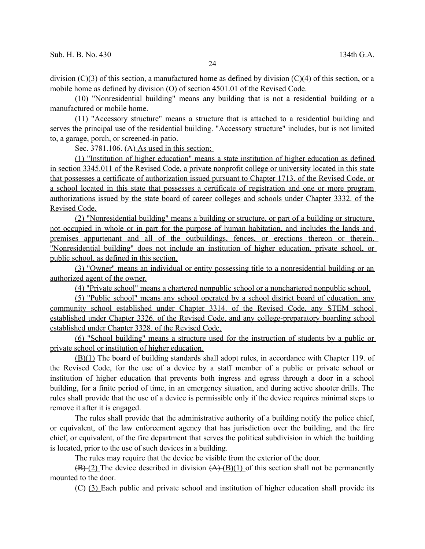division  $(C)(3)$  of this section, a manufactured home as defined by division  $(C)(4)$  of this section, or a mobile home as defined by division (O) of section 4501.01 of the Revised Code.

(10) "Nonresidential building" means any building that is not a residential building or a manufactured or mobile home.

(11) "Accessory structure" means a structure that is attached to a residential building and serves the principal use of the residential building. "Accessory structure" includes, but is not limited to, a garage, porch, or screened-in patio.

Sec. 3781.106. (A) As used in this section:

(1) "Institution of higher education" means a state institution of higher education as defined in section 3345.011 of the Revised Code, a private nonprofit college or university located in this state that possesses a certificate of authorization issued pursuant to Chapter 1713. of the Revised Code, or a school located in this state that possesses a certificate of registration and one or more program authorizations issued by the state board of career colleges and schools under Chapter 3332. of the Revised Code.

(2) "Nonresidential building" means a building or structure, or part of a building or structure, not occupied in whole or in part for the purpose of human habitation, and includes the lands and premises appurtenant and all of the outbuildings, fences, or erections thereon or therein. "Nonresidential building" does not include an institution of higher education, private school, or public school, as defined in this section.

(3) "Owner" means an individual or entity possessing title to a nonresidential building or an authorized agent of the owner.

(4) "Private school" means a chartered nonpublic school or a nonchartered nonpublic school.

(5) "Public school" means any school operated by a school district board of education, any community school established under Chapter 3314. of the Revised Code, any STEM school established under Chapter 3326. of the Revised Code, and any college-preparatory boarding school established under Chapter 3328. of the Revised Code.

(6) "School building" means a structure used for the instruction of students by a public or private school or institution of higher education.

(B)(1) The board of building standards shall adopt rules, in accordance with Chapter 119. of the Revised Code, for the use of a device by a staff member of a public or private school or institution of higher education that prevents both ingress and egress through a door in a school building, for a finite period of time, in an emergency situation, and during active shooter drills. The rules shall provide that the use of a device is permissible only if the device requires minimal steps to remove it after it is engaged.

The rules shall provide that the administrative authority of a building notify the police chief, or equivalent, of the law enforcement agency that has jurisdiction over the building, and the fire chief, or equivalent, of the fire department that serves the political subdivision in which the building is located, prior to the use of such devices in a building.

The rules may require that the device be visible from the exterior of the door.

 $(\overline{B})$  (2) The device described in division  $(A)$  ( $(B)$ (1) of this section shall not be permanently mounted to the door.

 $(\text{C})$  (3) Each public and private school and institution of higher education shall provide its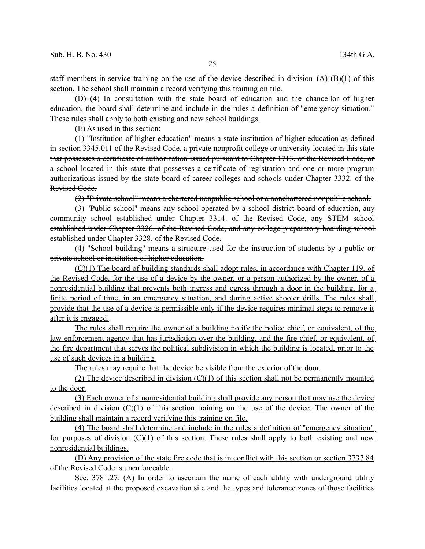staff members in-service training on the use of the device described in division  $(A)$  (B)(1) of this section. The school shall maintain a record verifying this training on file.

 $(D)$  (4) In consultation with the state board of education and the chancellor of higher education, the board shall determine and include in the rules a definition of "emergency situation." These rules shall apply to both existing and new school buildings.

(E) As used in this section:

(1) "Institution of higher education" means a state institution of higher education as defined in section 3345.011 of the Revised Code, a private nonprofit college or university located in this state that possesses a certificate of authorization issued pursuant to Chapter 1713. of the Revised Code, or a school located in this state that possesses a certificate of registration and one or more program authorizations issued by the state board of career colleges and schools under Chapter 3332. of the Revised Code.

(2) "Private school" means a chartered nonpublic school or a nonchartered nonpublic school.

(3) "Public school" means any school operated by a school district board of education, any community school established under Chapter 3314. of the Revised Code, any STEM school established under Chapter 3326. of the Revised Code, and any college-preparatory boarding school established under Chapter 3328. of the Revised Code.

(4) "School building" means a structure used for the instruction of students by a public or private school or institution of higher education.

(C)(1) The board of building standards shall adopt rules, in accordance with Chapter 119. of the Revised Code, for the use of a device by the owner, or a person authorized by the owner, of a nonresidential building that prevents both ingress and egress through a door in the building, for a finite period of time, in an emergency situation, and during active shooter drills. The rules shall provide that the use of a device is permissible only if the device requires minimal steps to remove it after it is engaged.

The rules shall require the owner of a building notify the police chief, or equivalent, of the law enforcement agency that has jurisdiction over the building, and the fire chief, or equivalent, of the fire department that serves the political subdivision in which the building is located, prior to the use of such devices in a building.

The rules may require that the device be visible from the exterior of the door.

(2) The device described in division  $(C)(1)$  of this section shall not be permanently mounted to the door.

(3) Each owner of a nonresidential building shall provide any person that may use the device described in division (C)(1) of this section training on the use of the device. The owner of the building shall maintain a record verifying this training on file.

(4) The board shall determine and include in the rules a definition of "emergency situation" for purposes of division  $(C)(1)$  of this section. These rules shall apply to both existing and new nonresidential buildings.

(D) Any provision of the state fire code that is in conflict with this section or section 3737.84 of the Revised Code is unenforceable.

Sec. 3781.27. (A) In order to ascertain the name of each utility with underground utility facilities located at the proposed excavation site and the types and tolerance zones of those facilities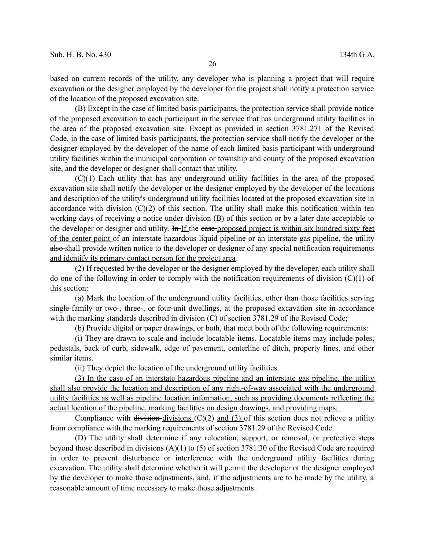based on current records of the utility, any developer who is planning a project that will require excavation or the designer employed by the developer for the project shall notify a protection service of the location of the proposed excavation site.

(B) Except in the case of limited basis participants, the protection service shall provide notice of the proposed excavation to each participant in the service that has underground utility facilities in the area of the proposed excavation site. Except as provided in section 3781.271 of the Revised Code, in the case of limited basis participants, the protection service shall notify the developer or the designer employed by the developer of the name of each limited basis participant with underground utility facilities within the municipal corporation or township and county of the proposed excavation site, and the developer or designer shall contact that utility.

(C)(1) Each utility that has any underground utility facilities in the area of the proposed excavation site shall notify the developer or the designer employed by the developer of the locations and description of the utility's underground utility facilities located at the proposed excavation site in accordance with division  $(C)(2)$  of this section. The utility shall make this notification within ten working days of receiving a notice under division (B) of this section or by a later date acceptable to the developer or designer and utility. In If the ease proposed project is within six hundred sixty feet of the center point of an interstate hazardous liquid pipeline or an interstate gas pipeline, the utility also shall provide written notice to the developer or designer of any special notification requirements and identify its primary contact person for the project area.

(2) If requested by the developer or the designer employed by the developer, each utility shall do one of the following in order to comply with the notification requirements of division  $(C)(1)$  of this section:

(a) Mark the location of the underground utility facilities, other than those facilities serving single-family or two-, three-, or four-unit dwellings, at the proposed excavation site in accordance with the marking standards described in division (C) of section 3781.29 of the Revised Code;

(b) Provide digital or paper drawings, or both, that meet both of the following requirements:

(i) They are drawn to scale and include locatable items. Locatable items may include poles, pedestals, back of curb, sidewalk, edge of pavement, centerline of ditch, property lines, and other similar items.

(ii) They depict the location of the underground utility facilities.

(3) In the case of an interstate hazardous pipeline and an interstate gas pipeline, the utility shall also provide the location and description of any right-of-way associated with the underground utility facilities as well as pipeline location information, such as providing documents reflecting the actual location of the pipeline, marking facilities on design drawings, and providing maps.

Compliance with division-divisions  $(C)(2)$  and  $(3)$  of this section does not relieve a utility from compliance with the marking requirements of section 3781.29 of the Revised Code.

(D) The utility shall determine if any relocation, support, or removal, or protective steps beyond those described in divisions (A)(1) to (5) of section 3781.30 of the Revised Code are required in order to prevent disturbance or interference with the underground utility facilities during excavation. The utility shall determine whether it will permit the developer or the designer employed by the developer to make those adjustments, and, if the adjustments are to be made by the utility, a reasonable amount of time necessary to make those adjustments.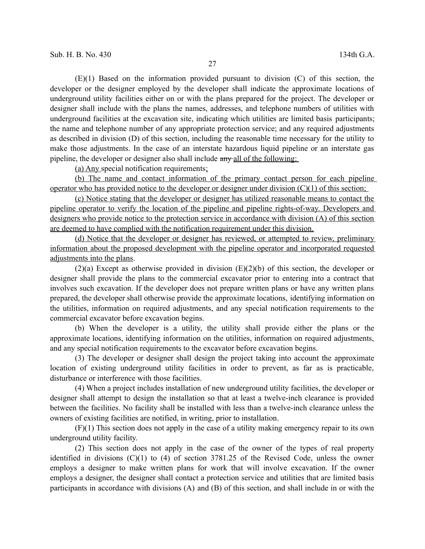(E)(1) Based on the information provided pursuant to division (C) of this section, the developer or the designer employed by the developer shall indicate the approximate locations of underground utility facilities either on or with the plans prepared for the project. The developer or designer shall include with the plans the names, addresses, and telephone numbers of utilities with underground facilities at the excavation site, indicating which utilities are limited basis participants; the name and telephone number of any appropriate protection service; and any required adjustments as described in division (D) of this section, including the reasonable time necessary for the utility to make those adjustments. In the case of an interstate hazardous liquid pipeline or an interstate gas pipeline, the developer or designer also shall include  $a_{\text{H}}$  and  $a_{\text{H}}$  of the following:

(a) Any special notification requirements;

(b) The name and contact information of the primary contact person for each pipeline operator who has provided notice to the developer or designer under division  $(C)(1)$  of this section;

(c) Notice stating that the developer or designer has utilized reasonable means to contact the pipeline operator to verify the location of the pipeline and pipeline rights-of-way. Developers and designers who provide notice to the protection service in accordance with division (A) of this section are deemed to have complied with the notification requirement under this division.

(d) Notice that the developer or designer has reviewed, or attempted to review, preliminary information about the proposed development with the pipeline operator and incorporated requested adjustments into the plans.

(2)(a) Except as otherwise provided in division (E)(2)(b) of this section, the developer or designer shall provide the plans to the commercial excavator prior to entering into a contract that involves such excavation. If the developer does not prepare written plans or have any written plans prepared, the developer shall otherwise provide the approximate locations, identifying information on the utilities, information on required adjustments, and any special notification requirements to the commercial excavator before excavation begins.

(b) When the developer is a utility, the utility shall provide either the plans or the approximate locations, identifying information on the utilities, information on required adjustments, and any special notification requirements to the excavator before excavation begins.

(3) The developer or designer shall design the project taking into account the approximate location of existing underground utility facilities in order to prevent, as far as is practicable, disturbance or interference with those facilities.

(4) When a project includes installation of new underground utility facilities, the developer or designer shall attempt to design the installation so that at least a twelve-inch clearance is provided between the facilities. No facility shall be installed with less than a twelve-inch clearance unless the owners of existing facilities are notified, in writing, prior to installation.

(F)(1) This section does not apply in the case of a utility making emergency repair to its own underground utility facility.

(2) This section does not apply in the case of the owner of the types of real property identified in divisions (C)(1) to (4) of section 3781.25 of the Revised Code, unless the owner employs a designer to make written plans for work that will involve excavation. If the owner employs a designer, the designer shall contact a protection service and utilities that are limited basis participants in accordance with divisions (A) and (B) of this section, and shall include in or with the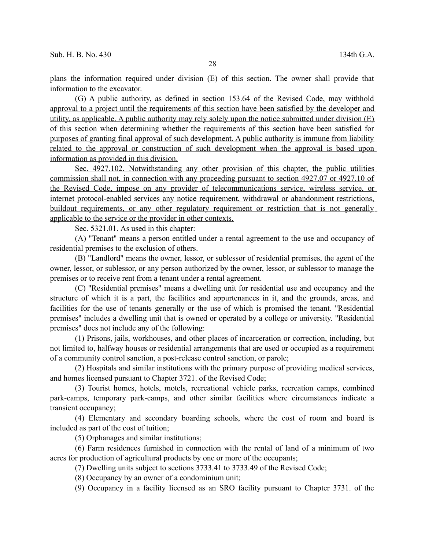plans the information required under division (E) of this section. The owner shall provide that information to the excavator.

(G) A public authority, as defined in section 153.64 of the Revised Code, may withhold approval to a project until the requirements of this section have been satisfied by the developer and utility, as applicable. A public authority may rely solely upon the notice submitted under division (E) of this section when determining whether the requirements of this section have been satisfied for purposes of granting final approval of such development. A public authority is immune from liability related to the approval or construction of such development when the approval is based upon information as provided in this division.

 Sec. 4927.102. Notwithstanding any other provision of this chapter, the public utilities commission shall not, in connection with any proceeding pursuant to section 4927.07 or 4927.10 of the Revised Code, impose on any provider of telecommunications service, wireless service, or internet protocol-enabled services any notice requirement, withdrawal or abandonment restrictions, buildout requirements, or any other regulatory requirement or restriction that is not generally applicable to the service or the provider in other contexts.

Sec. 5321.01. As used in this chapter:

(A) "Tenant" means a person entitled under a rental agreement to the use and occupancy of residential premises to the exclusion of others.

(B) "Landlord" means the owner, lessor, or sublessor of residential premises, the agent of the owner, lessor, or sublessor, or any person authorized by the owner, lessor, or sublessor to manage the premises or to receive rent from a tenant under a rental agreement.

(C) "Residential premises" means a dwelling unit for residential use and occupancy and the structure of which it is a part, the facilities and appurtenances in it, and the grounds, areas, and facilities for the use of tenants generally or the use of which is promised the tenant. "Residential premises" includes a dwelling unit that is owned or operated by a college or university. "Residential premises" does not include any of the following:

(1) Prisons, jails, workhouses, and other places of incarceration or correction, including, but not limited to, halfway houses or residential arrangements that are used or occupied as a requirement of a community control sanction, a post-release control sanction, or parole;

(2) Hospitals and similar institutions with the primary purpose of providing medical services, and homes licensed pursuant to Chapter 3721. of the Revised Code;

(3) Tourist homes, hotels, motels, recreational vehicle parks, recreation camps, combined park-camps, temporary park-camps, and other similar facilities where circumstances indicate a transient occupancy;

(4) Elementary and secondary boarding schools, where the cost of room and board is included as part of the cost of tuition;

(5) Orphanages and similar institutions;

(6) Farm residences furnished in connection with the rental of land of a minimum of two acres for production of agricultural products by one or more of the occupants;

(7) Dwelling units subject to sections 3733.41 to 3733.49 of the Revised Code;

(8) Occupancy by an owner of a condominium unit;

(9) Occupancy in a facility licensed as an SRO facility pursuant to Chapter 3731. of the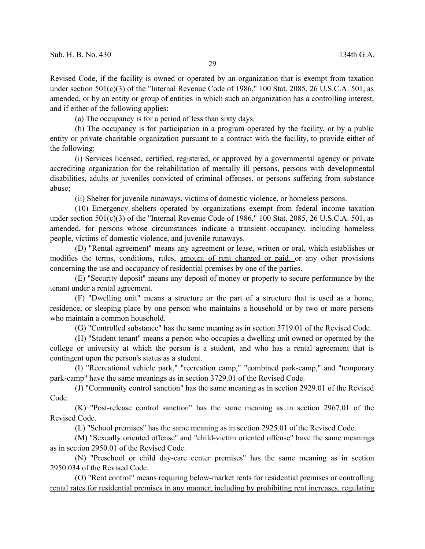Revised Code, if the facility is owned or operated by an organization that is exempt from taxation under section 501(c)(3) of the "Internal Revenue Code of 1986," 100 Stat. 2085, 26 U.S.C.A. 501, as amended, or by an entity or group of entities in which such an organization has a controlling interest, and if either of the following applies:

(a) The occupancy is for a period of less than sixty days.

(b) The occupancy is for participation in a program operated by the facility, or by a public entity or private charitable organization pursuant to a contract with the facility, to provide either of the following:

(i) Services licensed, certified, registered, or approved by a governmental agency or private accrediting organization for the rehabilitation of mentally ill persons, persons with developmental disabilities, adults or juveniles convicted of criminal offenses, or persons suffering from substance abuse;

(ii) Shelter for juvenile runaways, victims of domestic violence, or homeless persons.

(10) Emergency shelters operated by organizations exempt from federal income taxation under section 501(c)(3) of the "Internal Revenue Code of 1986," 100 Stat. 2085, 26 U.S.C.A. 501, as amended, for persons whose circumstances indicate a transient occupancy, including homeless people, victims of domestic violence, and juvenile runaways.

(D) "Rental agreement" means any agreement or lease, written or oral, which establishes or modifies the terms, conditions, rules, amount of rent charged or paid, or any other provisions concerning the use and occupancy of residential premises by one of the parties.

(E) "Security deposit" means any deposit of money or property to secure performance by the tenant under a rental agreement.

(F) "Dwelling unit" means a structure or the part of a structure that is used as a home, residence, or sleeping place by one person who maintains a household or by two or more persons who maintain a common household.

(G) "Controlled substance" has the same meaning as in section 3719.01 of the Revised Code.

(H) "Student tenant" means a person who occupies a dwelling unit owned or operated by the college or university at which the person is a student, and who has a rental agreement that is contingent upon the person's status as a student.

(I) "Recreational vehicle park," "recreation camp," "combined park-camp," and "temporary park-camp" have the same meanings as in section 3729.01 of the Revised Code.

(J) "Community control sanction" has the same meaning as in section 2929.01 of the Revised Code.

(K) "Post-release control sanction" has the same meaning as in section 2967.01 of the Revised Code.

(L) "School premises" has the same meaning as in section 2925.01 of the Revised Code.

(M) "Sexually oriented offense" and "child-victim oriented offense" have the same meanings as in section 2950.01 of the Revised Code.

(N) "Preschool or child day-care center premises" has the same meaning as in section 2950.034 of the Revised Code.

(O) "Rent control" means requiring below-market rents for residential premises or controlling rental rates for residential premises in any manner, including by prohibiting rent increases, regulating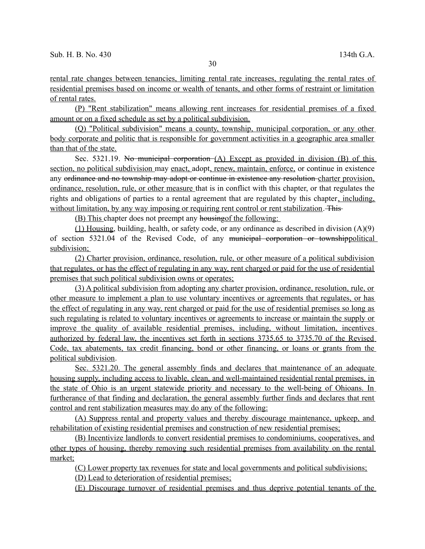rental rate changes between tenancies, limiting rental rate increases, regulating the rental rates of residential premises based on income or wealth of tenants, and other forms of restraint or limitation of rental rates.

(P) "Rent stabilization" means allowing rent increases for residential premises of a fixed amount or on a fixed schedule as set by a political subdivision.

(Q) "Political subdivision" means a county, township, municipal corporation, or any other body corporate and politic that is responsible for government activities in a geographic area smaller than that of the state.

Sec. 5321.19. No municipal corporation  $(A)$  Except as provided in division  $(B)$  of this section, no political subdivision may enact, adopt, renew, maintain, enforce, or continue in existence any ordinance and no township may adopt or continue in existence any resolution charter provision, ordinance, resolution, rule, or other measure that is in conflict with this chapter, or that regulates the rights and obligations of parties to a rental agreement that are regulated by this chapter, including, without limitation, by any way imposing or requiring rent control or rent stabilization. This

(B) This chapter does not preempt any housingof the following:

(1) Housing, building, health, or safety code, or any ordinance as described in division (A)(9) of section 5321.04 of the Revised Code, of any municipal corporation or townshippolitical subdivision;

(2) Charter provision, ordinance, resolution, rule, or other measure of a political subdivision that regulates, or has the effect of regulating in any way, rent charged or paid for the use of residential premises that such political subdivision owns or operates;

(3) A political subdivision from adopting any charter provision, ordinance, resolution, rule, or other measure to implement a plan to use voluntary incentives or agreements that regulates, or has the effect of regulating in any way, rent charged or paid for the use of residential premises so long as such regulating is related to voluntary incentives or agreements to increase or maintain the supply or improve the quality of available residential premises, including, without limitation, incentives authorized by federal law, the incentives set forth in sections 3735.65 to 3735.70 of the Revised Code, tax abatements, tax credit financing, bond or other financing, or loans or grants from the political subdivision.

 Sec. 5321.20. The general assembly finds and declares that maintenance of an adequate housing supply, including access to livable, clean, and well-maintained residential rental premises, in the state of Ohio is an urgent statewide priority and necessary to the well-being of Ohioans. In furtherance of that finding and declaration, the general assembly further finds and declares that rent control and rent stabilization measures may do any of the following:

(A) Suppress rental and property values and thereby discourage maintenance, upkeep, and rehabilitation of existing residential premises and construction of new residential premises;

(B) Incentivize landlords to convert residential premises to condominiums, cooperatives, and other types of housing, thereby removing such residential premises from availability on the rental market;

(C) Lower property tax revenues for state and local governments and political subdivisions;

(D) Lead to deterioration of residential premises;

(E) Discourage turnover of residential premises and thus deprive potential tenants of the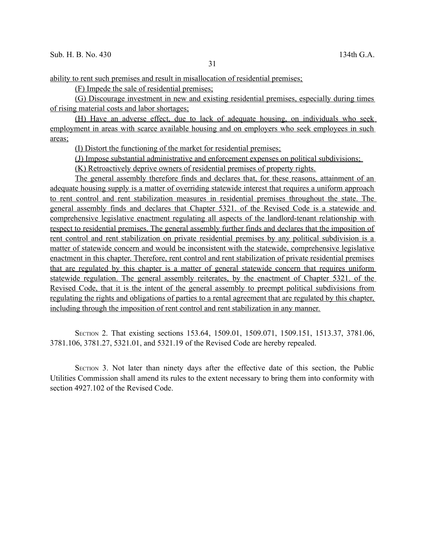ability to rent such premises and result in misallocation of residential premises;

(F) Impede the sale of residential premises;

(G) Discourage investment in new and existing residential premises, especially during times of rising material costs and labor shortages;

(H) Have an adverse effect, due to lack of adequate housing, on individuals who seek employment in areas with scarce available housing and on employers who seek employees in such areas;

(I) Distort the functioning of the market for residential premises;

(J) Impose substantial administrative and enforcement expenses on political subdivisions;

(K) Retroactively deprive owners of residential premises of property rights.

The general assembly therefore finds and declares that, for these reasons, attainment of an adequate housing supply is a matter of overriding statewide interest that requires a uniform approach to rent control and rent stabilization measures in residential premises throughout the state. The general assembly finds and declares that Chapter 5321. of the Revised Code is a statewide and comprehensive legislative enactment regulating all aspects of the landlord-tenant relationship with respect to residential premises. The general assembly further finds and declares that the imposition of rent control and rent stabilization on private residential premises by any political subdivision is a matter of statewide concern and would be inconsistent with the statewide, comprehensive legislative enactment in this chapter. Therefore, rent control and rent stabilization of private residential premises that are regulated by this chapter is a matter of general statewide concern that requires uniform statewide regulation. The general assembly reiterates, by the enactment of Chapter 5321. of the Revised Code, that it is the intent of the general assembly to preempt political subdivisions from regulating the rights and obligations of parties to a rental agreement that are regulated by this chapter, including through the imposition of rent control and rent stabilization in any manner.

SECTION 2. That existing sections 153.64, 1509.01, 1509.071, 1509.151, 1513.37, 3781.06, 3781.106, 3781.27, 5321.01, and 5321.19 of the Revised Code are hereby repealed.

SECTION 3. Not later than ninety days after the effective date of this section, the Public Utilities Commission shall amend its rules to the extent necessary to bring them into conformity with section 4927.102 of the Revised Code.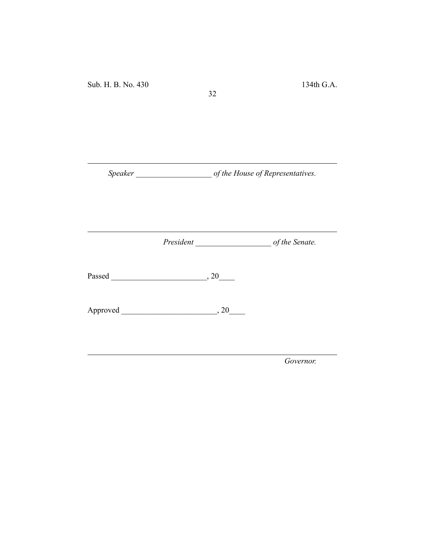*Speaker \_\_\_\_\_\_\_\_\_\_\_\_\_\_\_\_\_\_\_ of the House of Representatives.*

32

*President \_\_\_\_\_\_\_\_\_\_\_\_\_\_\_\_\_\_\_ of the Senate.*

Passed \_\_\_\_\_\_\_\_\_\_\_\_\_\_\_\_\_\_\_\_\_\_\_\_, 20\_\_\_\_

Approved \_\_\_\_\_\_\_\_\_\_\_\_\_\_\_\_\_\_\_\_\_\_\_\_, 20\_\_\_\_

*Governor.*